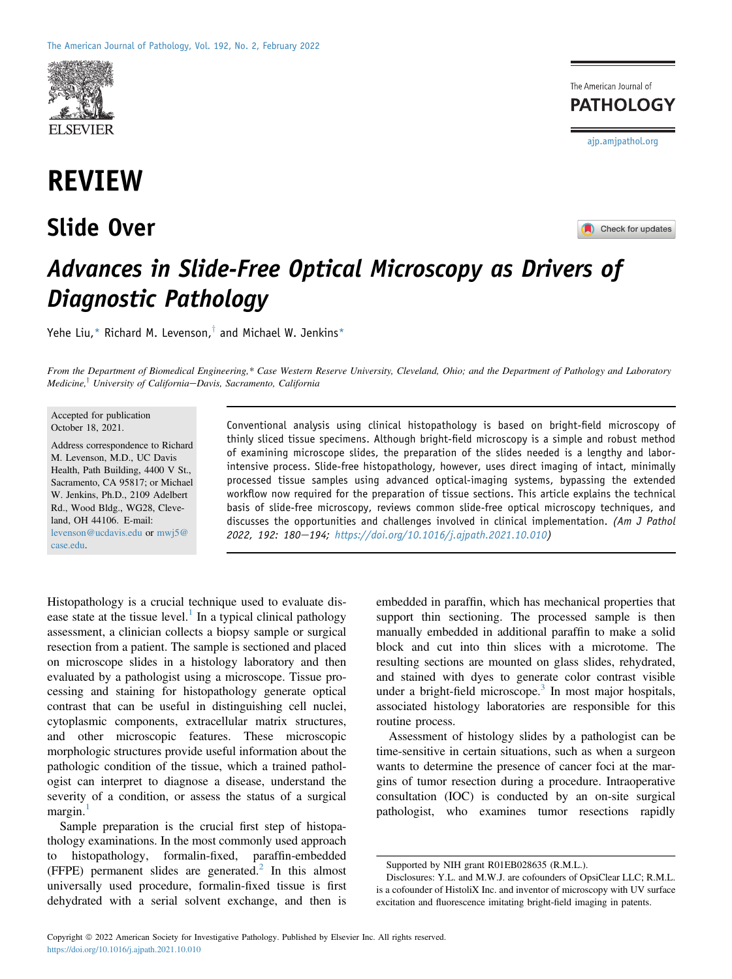

# REVIEW

## Slide Over





## Advances in Slide-Free Optical Microscopy as Drivers of Diagnostic Pathology

Yehe Liu,\* Richard M. Levenson, $^{\dagger}$  and Michael W. Jenkins\*

From the Department of Biomedical Engineering,\* Case Western Reserve University, Cleveland, Ohio; and the Department of Pathology and Laboratory Medicine,<sup>†</sup> University of California-Davis, Sacramento, California

#### Accepted for publication October 18, 2021.

Address correspondence to Richard M. Levenson, M.D., UC Davis Health, Path Building, 4400 V St., Sacramento, CA 95817; or Michael W. Jenkins, Ph.D., 2109 Adelbert Rd., Wood Bldg., WG28, Cleveland, OH 44106. E-mail: [levenson@ucdavis.edu](mailto:levenson@ucdavis.edu) or [mwj5@](mailto:mwj5@case.edu) [case.edu.](mailto:mwj5@case.edu)

Conventional analysis using clinical histopathology is based on bright-field microscopy of thinly sliced tissue specimens. Although bright-field microscopy is a simple and robust method of examining microscope slides, the preparation of the slides needed is a lengthy and laborintensive process. Slide-free histopathology, however, uses direct imaging of intact, minimally processed tissue samples using advanced optical-imaging systems, bypassing the extended workflow now required for the preparation of tissue sections. This article explains the technical basis of slide-free microscopy, reviews common slide-free optical microscopy techniques, and discusses the opportunities and challenges involved in clinical implementation. (Am J Pathol 2022, 192: 180-194; <https://doi.org/10.1016/j.ajpath.2021.10.010>)

Histopathology is a crucial technique used to evaluate disease state at the tissue level. $<sup>1</sup>$  $<sup>1</sup>$  $<sup>1</sup>$  In a typical clinical pathology</sup> assessment, a clinician collects a biopsy sample or surgical resection from a patient. The sample is sectioned and placed on microscope slides in a histology laboratory and then evaluated by a pathologist using a microscope. Tissue processing and staining for histopathology generate optical contrast that can be useful in distinguishing cell nuclei, cytoplasmic components, extracellular matrix structures, and other microscopic features. These microscopic morphologic structures provide useful information about the pathologic condition of the tissue, which a trained pathologist can interpret to diagnose a disease, understand the severity of a condition, or assess the status of a surgical  $margin.<sup>1</sup>$  $margin.<sup>1</sup>$  $margin.<sup>1</sup>$ 

Sample preparation is the crucial first step of histopathology examinations. In the most commonly used approach to histopathology, formalin-fixed, paraffin-embedded  $(FFPE)$  permanent slides are generated.<sup>[2](#page-12-1)</sup> In this almost universally used procedure, formalin-fixed tissue is first dehydrated with a serial solvent exchange, and then is embedded in paraffin, which has mechanical properties that support thin sectioning. The processed sample is then manually embedded in additional paraffin to make a solid block and cut into thin slices with a microtome. The resulting sections are mounted on glass slides, rehydrated, and stained with dyes to generate color contrast visible under a bright-field microscope.<sup>[3](#page-12-2)</sup> In most major hospitals, associated histology laboratories are responsible for this routine process.

Assessment of histology slides by a pathologist can be time-sensitive in certain situations, such as when a surgeon wants to determine the presence of cancer foci at the margins of tumor resection during a procedure. Intraoperative consultation (IOC) is conducted by an on-site surgical pathologist, who examines tumor resections rapidly

Supported by NIH grant R01EB028635 (R.M.L.).

Disclosures: Y.L. and M.W.J. are cofounders of OpsiClear LLC; R.M.L. is a cofounder of HistoliX Inc. and inventor of microscopy with UV surface excitation and fluorescence imitating bright-field imaging in patents.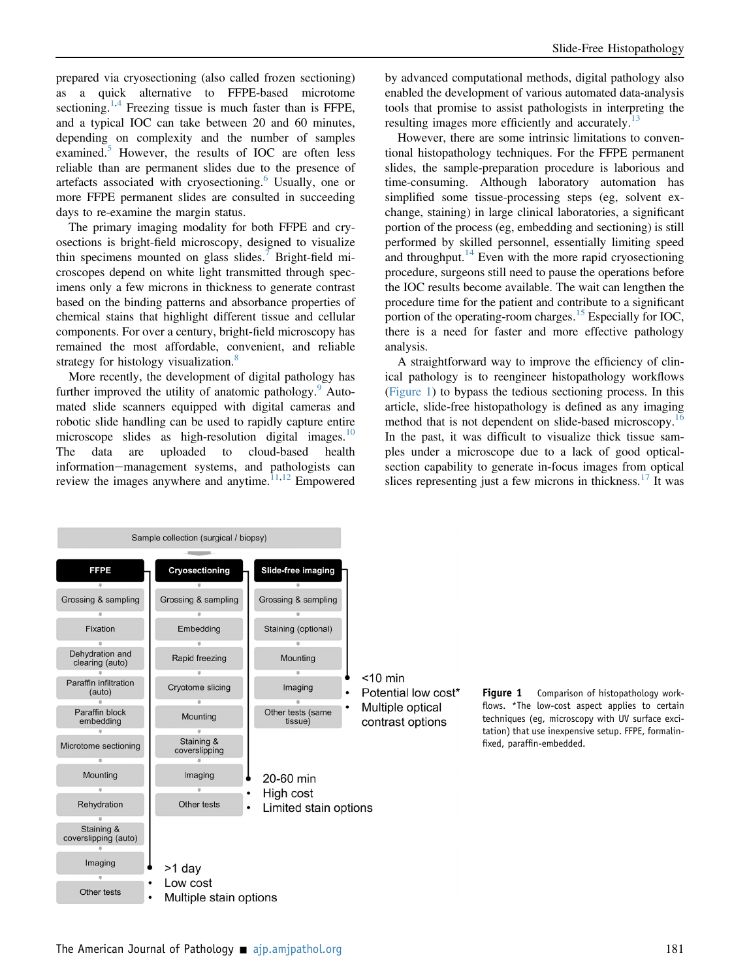prepared via cryosectioning (also called frozen sectioning) as a quick alternative to FFPE-based microtome sectioning.<sup>[1,](#page-12-0)[4](#page-12-3)</sup> Freezing tissue is much faster than is FFPE, and a typical IOC can take between 20 and 60 minutes, depending on complexity and the number of samples examined.<sup>[5](#page-12-4)</sup> However, the results of IOC are often less reliable than are permanent slides due to the presence of artefacts associated with cryosectioning.<sup>[6](#page-12-5)</sup> Usually, one or more FFPE permanent slides are consulted in succeeding days to re-examine the margin status.

The primary imaging modality for both FFPE and cryosections is bright-field microscopy, designed to visualize thin specimens mounted on glass slides.[7](#page-12-6) Bright-field microscopes depend on white light transmitted through specimens only a few microns in thickness to generate contrast based on the binding patterns and absorbance properties of chemical stains that highlight different tissue and cellular components. For over a century, bright-field microscopy has remained the most affordable, convenient, and reliable strategy for histology visualization. $\frac{8}{3}$  $\frac{8}{3}$  $\frac{8}{3}$ 

More recently, the development of digital pathology has further improved the utility of anatomic pathology.<sup>[9](#page-12-8)</sup> Automated slide scanners equipped with digital cameras and robotic slide handling can be used to rapidly capture entire microscope slides as high-resolution digital images.<sup>[10](#page-12-9)</sup> The data are uploaded to cloud-based health information-management systems, and pathologists can review the images anywhere and anytime. $1,12$  $1,12$  Empowered

by advanced computational methods, digital pathology also enabled the development of various automated data-analysis tools that promise to assist pathologists in interpreting the resulting images more efficiently and accurately.<sup>[13](#page-12-12)</sup>

However, there are some intrinsic limitations to conventional histopathology techniques. For the FFPE permanent slides, the sample-preparation procedure is laborious and time-consuming. Although laboratory automation has simplified some tissue-processing steps (eg, solvent exchange, staining) in large clinical laboratories, a significant portion of the process (eg, embedding and sectioning) is still performed by skilled personnel, essentially limiting speed and throughput.<sup>[14](#page-12-13)</sup> Even with the more rapid cryosectioning procedure, surgeons still need to pause the operations before the IOC results become available. The wait can lengthen the procedure time for the patient and contribute to a significant portion of the operating-room charges.<sup>[15](#page-12-14)</sup> Especially for IOC, there is a need for faster and more effective pathology analysis.

A straightforward way to improve the efficiency of clinical pathology is to reengineer histopathology workflows [\(Figure 1](#page-1-0)) to bypass the tedious sectioning process. In this article, slide-free histopathology is defined as any imaging method that is not dependent on slide-based microscopy.<sup>[16](#page-12-15)</sup> In the past, it was difficult to visualize thick tissue samples under a microscope due to a lack of good opticalsection capability to generate in-focus images from optical slices representing just a few microns in thickness. $17$  It was

<span id="page-1-0"></span>

Figure 1 Comparison of histopathology workflows. \*The low-cost aspect applies to certain techniques (eg, microscopy with UV surface excitation) that use inexpensive setup. FFPE, formalinfixed, paraffin-embedded.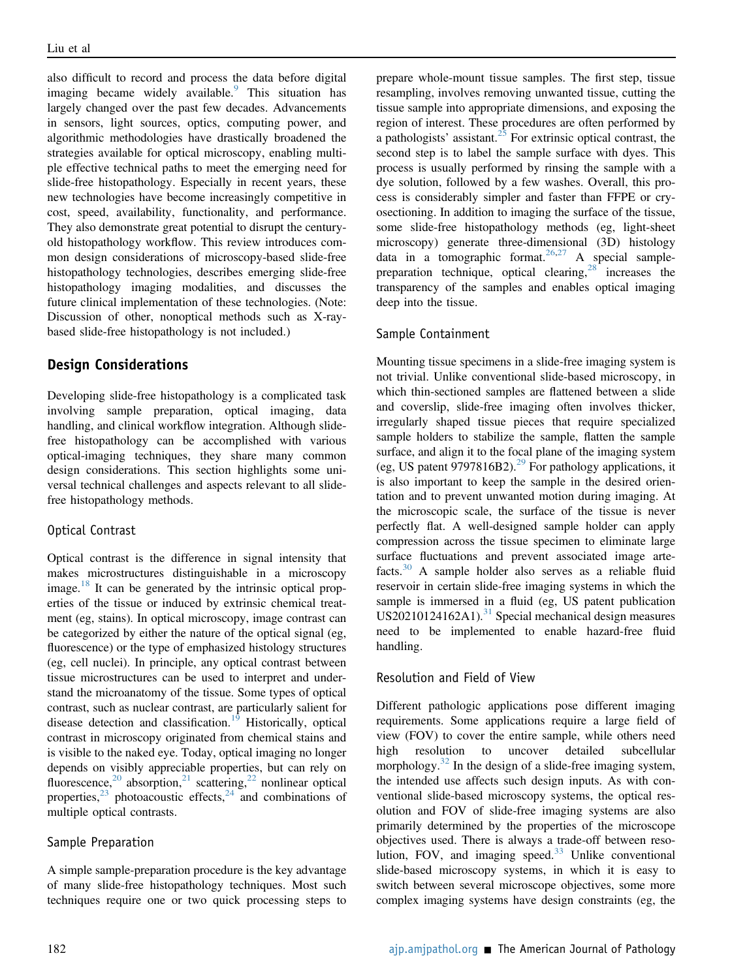also difficult to record and process the data before digital imaging became widely available. $\degree$  This situation has largely changed over the past few decades. Advancements in sensors, light sources, optics, computing power, and algorithmic methodologies have drastically broadened the strategies available for optical microscopy, enabling multiple effective technical paths to meet the emerging need for slide-free histopathology. Especially in recent years, these new technologies have become increasingly competitive in cost, speed, availability, functionality, and performance. They also demonstrate great potential to disrupt the centuryold histopathology workflow. This review introduces common design considerations of microscopy-based slide-free histopathology technologies, describes emerging slide-free histopathology imaging modalities, and discusses the future clinical implementation of these technologies. (Note: Discussion of other, nonoptical methods such as X-raybased slide-free histopathology is not included.)

### Design Considerations

Developing slide-free histopathology is a complicated task involving sample preparation, optical imaging, data handling, and clinical workflow integration. Although slidefree histopathology can be accomplished with various optical-imaging techniques, they share many common design considerations. This section highlights some universal technical challenges and aspects relevant to all slidefree histopathology methods.

#### Optical Contrast

Optical contrast is the difference in signal intensity that makes microstructures distinguishable in a microscopy image.<sup>[18](#page-12-17)</sup> It can be generated by the intrinsic optical properties of the tissue or induced by extrinsic chemical treatment (eg, stains). In optical microscopy, image contrast can be categorized by either the nature of the optical signal (eg, fluorescence) or the type of emphasized histology structures (eg, cell nuclei). In principle, any optical contrast between tissue microstructures can be used to interpret and understand the microanatomy of the tissue. Some types of optical contrast, such as nuclear contrast, are particularly salient for disease detection and classification.<sup>[19](#page-12-18)</sup> Historically, optical contrast in microscopy originated from chemical stains and is visible to the naked eye. Today, optical imaging no longer depends on visibly appreciable properties, but can rely on fluorescence,<sup>[20](#page-12-19)</sup> absorption,<sup>[21](#page-12-20)</sup> scattering,<sup>[22](#page-12-21)</sup> nonlinear optical properties, $23$  photoacoustic effects, $24$  and combinations of multiple optical contrasts.

#### Sample Preparation

A simple sample-preparation procedure is the key advantage of many slide-free histopathology techniques. Most such techniques require one or two quick processing steps to

prepare whole-mount tissue samples. The first step, tissue resampling, involves removing unwanted tissue, cutting the tissue sample into appropriate dimensions, and exposing the region of interest. These procedures are often performed by a pathologists' assistant. $25$  For extrinsic optical contrast, the second step is to label the sample surface with dyes. This process is usually performed by rinsing the sample with a dye solution, followed by a few washes. Overall, this process is considerably simpler and faster than FFPE or cryosectioning. In addition to imaging the surface of the tissue, some slide-free histopathology methods (eg, light-sheet microscopy) generate three-dimensional (3D) histology data in a tomographic format.<sup>[26,](#page-12-25)[27](#page-12-26)</sup> A special samplepreparation technique, optical clearing, $28$  increases the transparency of the samples and enables optical imaging deep into the tissue.

#### Sample Containment

Mounting tissue specimens in a slide-free imaging system is not trivial. Unlike conventional slide-based microscopy, in which thin-sectioned samples are flattened between a slide and coverslip, slide-free imaging often involves thicker, irregularly shaped tissue pieces that require specialized sample holders to stabilize the sample, flatten the sample surface, and align it to the focal plane of the imaging system (eg, US patent 9797816B2).<sup>[29](#page-12-28)</sup> For pathology applications, it is also important to keep the sample in the desired orientation and to prevent unwanted motion during imaging. At the microscopic scale, the surface of the tissue is never perfectly flat. A well-designed sample holder can apply compression across the tissue specimen to eliminate large surface fluctuations and prevent associated image artefacts.[30](#page-12-29) A sample holder also serves as a reliable fluid reservoir in certain slide-free imaging systems in which the sample is immersed in a fluid (eg, US patent publication US20210124162A1). $31$  Special mechanical design measures need to be implemented to enable hazard-free fluid handling.

#### Resolution and Field of View

Different pathologic applications pose different imaging requirements. Some applications require a large field of view (FOV) to cover the entire sample, while others need high resolution to uncover detailed subcellular morphology.<sup>[32](#page-12-31)</sup> In the design of a slide-free imaging system, the intended use affects such design inputs. As with conventional slide-based microscopy systems, the optical resolution and FOV of slide-free imaging systems are also primarily determined by the properties of the microscope objectives used. There is always a trade-off between resolution, FOV, and imaging speed. $33$  Unlike conventional slide-based microscopy systems, in which it is easy to switch between several microscope objectives, some more complex imaging systems have design constraints (eg, the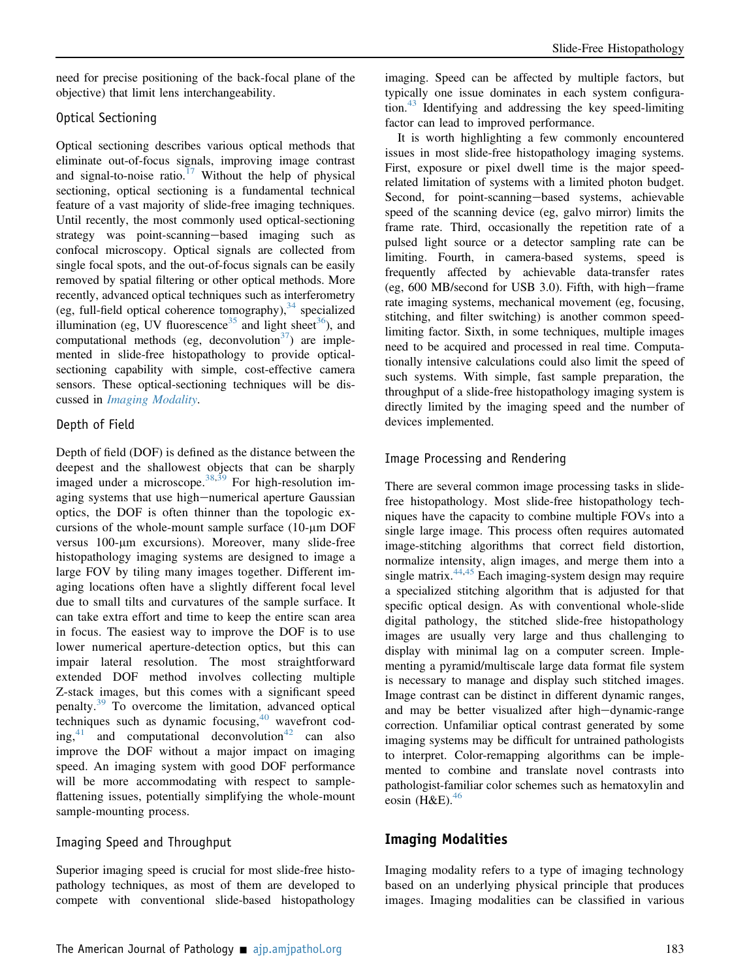need for precise positioning of the back-focal plane of the objective) that limit lens interchangeability.

#### Optical Sectioning

Optical sectioning describes various optical methods that eliminate out-of-focus signals, improving image contrast and signal-to-noise ratio.<sup>[17](#page-12-16)</sup> Without the help of physical sectioning, optical sectioning is a fundamental technical feature of a vast majority of slide-free imaging techniques. Until recently, the most commonly used optical-sectioning strategy was point-scanning-based imaging such as confocal microscopy. Optical signals are collected from single focal spots, and the out-of-focus signals can be easily removed by spatial filtering or other optical methods. More recently, advanced optical techniques such as interferometry (eg, full-field optical coherence tomography),  $34$  specialized illumination (eg, UV fluorescence<sup>[35](#page-12-34)</sup> and light sheet<sup>[36](#page-12-35)</sup>), and computational methods (eg, deconvolution<sup>37</sup>) are implemented in slide-free histopathology to provide opticalsectioning capability with simple, cost-effective camera sensors. These optical-sectioning techniques will be dis-cussed in [Imaging Modality](#page-3-0).

#### Depth of Field

Depth of field (DOF) is defined as the distance between the deepest and the shallowest objects that can be sharply imaged under a microscope.<sup>[38,](#page-12-37)[39](#page-12-38)</sup> For high-resolution imaging systems that use high-numerical aperture Gaussian optics, the DOF is often thinner than the topologic excursions of the whole-mount sample surface  $(10 \text{-} \mu \text{m } DOF)$ versus 100-um excursions). Moreover, many slide-free histopathology imaging systems are designed to image a large FOV by tiling many images together. Different imaging locations often have a slightly different focal level due to small tilts and curvatures of the sample surface. It can take extra effort and time to keep the entire scan area in focus. The easiest way to improve the DOF is to use lower numerical aperture-detection optics, but this can impair lateral resolution. The most straightforward extended DOF method involves collecting multiple Z-stack images, but this comes with a significant speed penalty.<sup>[39](#page-12-38)</sup> To overcome the limitation, advanced optical techniques such as dynamic focusing,  $40$  wavefront coding, $41$  and computational deconvolution $42$  can also improve the DOF without a major impact on imaging speed. An imaging system with good DOF performance will be more accommodating with respect to sampleflattening issues, potentially simplifying the whole-mount sample-mounting process.

#### Imaging Speed and Throughput

Superior imaging speed is crucial for most slide-free histopathology techniques, as most of them are developed to compete with conventional slide-based histopathology

imaging. Speed can be affected by multiple factors, but typically one issue dominates in each system configura-tion.<sup>[43](#page-13-1)</sup> Identifying and addressing the key speed-limiting factor can lead to improved performance.

It is worth highlighting a few commonly encountered issues in most slide-free histopathology imaging systems. First, exposure or pixel dwell time is the major speedrelated limitation of systems with a limited photon budget. Second, for point-scanning-based systems, achievable speed of the scanning device (eg, galvo mirror) limits the frame rate. Third, occasionally the repetition rate of a pulsed light source or a detector sampling rate can be limiting. Fourth, in camera-based systems, speed is frequently affected by achievable data-transfer rates (eg,  $600$  MB/second for USB 3.0). Fifth, with high-frame rate imaging systems, mechanical movement (eg, focusing, stitching, and filter switching) is another common speedlimiting factor. Sixth, in some techniques, multiple images need to be acquired and processed in real time. Computationally intensive calculations could also limit the speed of such systems. With simple, fast sample preparation, the throughput of a slide-free histopathology imaging system is directly limited by the imaging speed and the number of devices implemented.

#### Image Processing and Rendering

There are several common image processing tasks in slidefree histopathology. Most slide-free histopathology techniques have the capacity to combine multiple FOVs into a single large image. This process often requires automated image-stitching algorithms that correct field distortion, normalize intensity, align images, and merge them into a single matrix.<sup>[44,](#page-13-2)[45](#page-13-3)</sup> Each imaging-system design may require a specialized stitching algorithm that is adjusted for that specific optical design. As with conventional whole-slide digital pathology, the stitched slide-free histopathology images are usually very large and thus challenging to display with minimal lag on a computer screen. Implementing a pyramid/multiscale large data format file system is necessary to manage and display such stitched images. Image contrast can be distinct in different dynamic ranges, and may be better visualized after high-dynamic-range correction. Unfamiliar optical contrast generated by some imaging systems may be difficult for untrained pathologists to interpret. Color-remapping algorithms can be implemented to combine and translate novel contrasts into pathologist-familiar color schemes such as hematoxylin and eosin  $(H&E)$ .<sup>[46](#page-13-4)</sup>

### <span id="page-3-0"></span>Imaging Modalities

Imaging modality refers to a type of imaging technology based on an underlying physical principle that produces images. Imaging modalities can be classified in various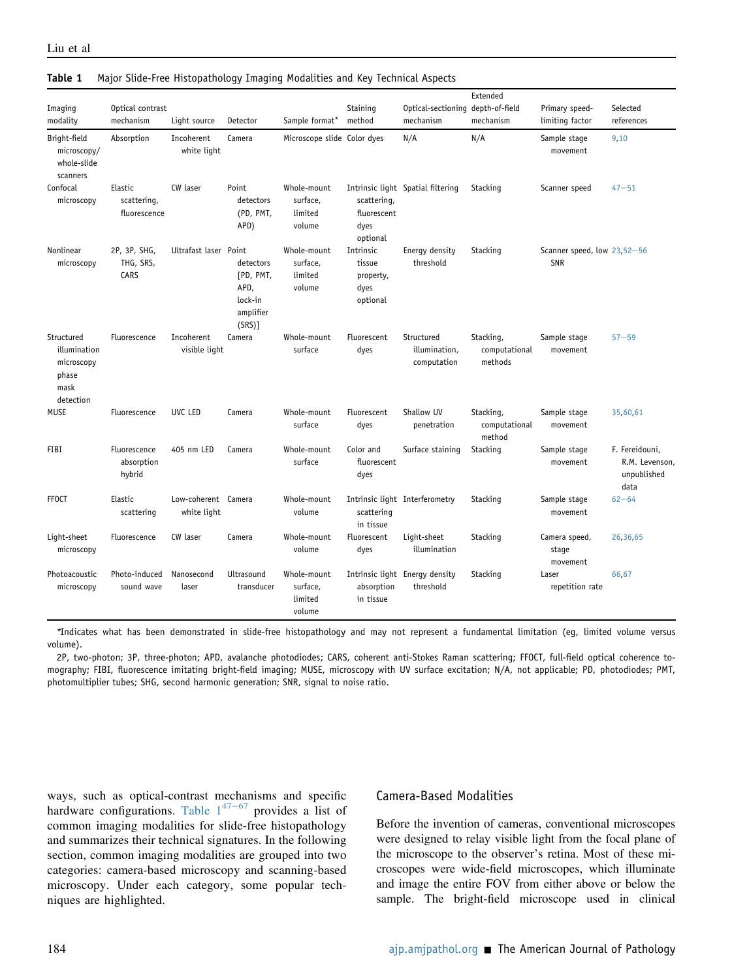| Imaging<br>modality                                                    | Optical contrast<br>mechanism          | Light source                       | Detector                                                         | Sample format*                               | Staining<br>method                                   | Optical-sectioning depth-of-field<br>mechanism | Extended<br>mechanism                 | Primary speed-<br>limiting factor         | Selected<br>references                                  |
|------------------------------------------------------------------------|----------------------------------------|------------------------------------|------------------------------------------------------------------|----------------------------------------------|------------------------------------------------------|------------------------------------------------|---------------------------------------|-------------------------------------------|---------------------------------------------------------|
| Bright-field<br>microscopy/<br>whole-slide<br>scanners                 | Absorption                             | Incoherent<br>white light          | Camera                                                           | Microscope slide Color dyes                  |                                                      | N/A                                            | N/A                                   | Sample stage<br>movement                  | 9,10                                                    |
| Confocal<br>microscopy                                                 | Elastic<br>scattering,<br>fluorescence | CW laser                           | Point<br>detectors<br>(PD, PMT,<br>APD)                          | Whole-mount<br>surface,<br>limited<br>volume | scattering,<br>fluorescent<br>dyes<br>optional       | Intrinsic light Spatial filtering              | Stacking                              | Scanner speed                             | $47 - 51$                                               |
| Nonlinear<br>microscopy                                                | 2P, 3P, SHG,<br>THG, SRS,<br>CARS      | Ultrafast laser Point              | detectors<br>[PD, PMT,<br>APD.<br>lock-in<br>amplifier<br>(SRS)] | Whole-mount<br>surface,<br>limited<br>volume | Intrinsic<br>tissue<br>property,<br>dyes<br>optional | Energy density<br>threshold                    | Stacking                              | Scanner speed, low 23,52-56<br><b>SNR</b> |                                                         |
| Structured<br>illumination<br>microscopy<br>phase<br>mask<br>detection | Fluorescence                           | Incoherent<br>visible light        | Camera                                                           | Whole-mount<br>surface                       | Fluorescent<br>dyes                                  | Structured<br>illumination,<br>computation     | Stacking,<br>computational<br>methods | Sample stage<br>movement                  | $57 - 59$                                               |
| <b>MUSE</b>                                                            | Fluorescence                           | UVC LED                            | Camera                                                           | Whole-mount<br>surface                       | Fluorescent<br>dyes                                  | Shallow UV<br>penetration                      | Stacking,<br>computational<br>method  | Sample stage<br>movement                  | 35,60,61                                                |
| <b>FIBI</b>                                                            | Fluorescence<br>absorption<br>hybrid   | 405 nm LED                         | Camera                                                           | Whole-mount<br>surface                       | Color and<br>fluorescent<br>dyes                     | Surface staining                               | Stacking                              | Sample stage<br>movement                  | F. Fereidouni,<br>R.M. Levenson,<br>unpublished<br>data |
| <b>FFOCT</b>                                                           | Elastic<br>scattering                  | Low-coherent Camera<br>white light |                                                                  | Whole-mount<br>volume                        | scattering<br>in tissue                              | Intrinsic light Interferometry                 | Stacking                              | Sample stage<br>movement                  | $62 - 64$                                               |
| Light-sheet<br>microscopy                                              | Fluorescence                           | CW laser                           | Camera                                                           | Whole-mount<br>volume                        | Fluorescent<br>dyes                                  | Light-sheet<br>illumination                    | Stacking                              | Camera speed,<br>stage<br>movement        | 26,36,65                                                |
| Photoacoustic<br>microscopy                                            | Photo-induced<br>sound wave            | Nanosecond<br>laser                | Ultrasound<br>transducer                                         | Whole-mount<br>surface.<br>limited<br>volume | absorption<br>in tissue                              | Intrinsic light Energy density<br>threshold    | Stacking                              | Laser<br>repetition rate                  | 66,67                                                   |

#### <span id="page-4-0"></span>Table 1 Major Slide-Free Histopathology Imaging Modalities and Key Technical Aspects

\*Indicates what has been demonstrated in slide-free histopathology and may not represent a fundamental limitation (eg, limited volume versus volume).

2P, two-photon; 3P, three-photon; APD, avalanche photodiodes; CARS, coherent anti-Stokes Raman scattering; FFOCT, full-field optical coherence tomography; FIBI, fluorescence imitating bright-field imaging; MUSE, microscopy with UV surface excitation; N/A, not applicable; PD, photodiodes; PMT, photomultiplier tubes; SHG, second harmonic generation; SNR, signal to noise ratio.

ways, such as optical-contrast mechanisms and specific hardware configurations. Table  $1^{47-67}$  $1^{47-67}$  $1^{47-67}$  $1^{47-67}$  $1^{47-67}$  provides a list of common imaging modalities for slide-free histopathology and summarizes their technical signatures. In the following section, common imaging modalities are grouped into two categories: camera-based microscopy and scanning-based microscopy. Under each category, some popular techniques are highlighted.

#### Camera-Based Modalities

Before the invention of cameras, conventional microscopes were designed to relay visible light from the focal plane of the microscope to the observer's retina. Most of these microscopes were wide-field microscopes, which illuminate and image the entire FOV from either above or below the sample. The bright-field microscope used in clinical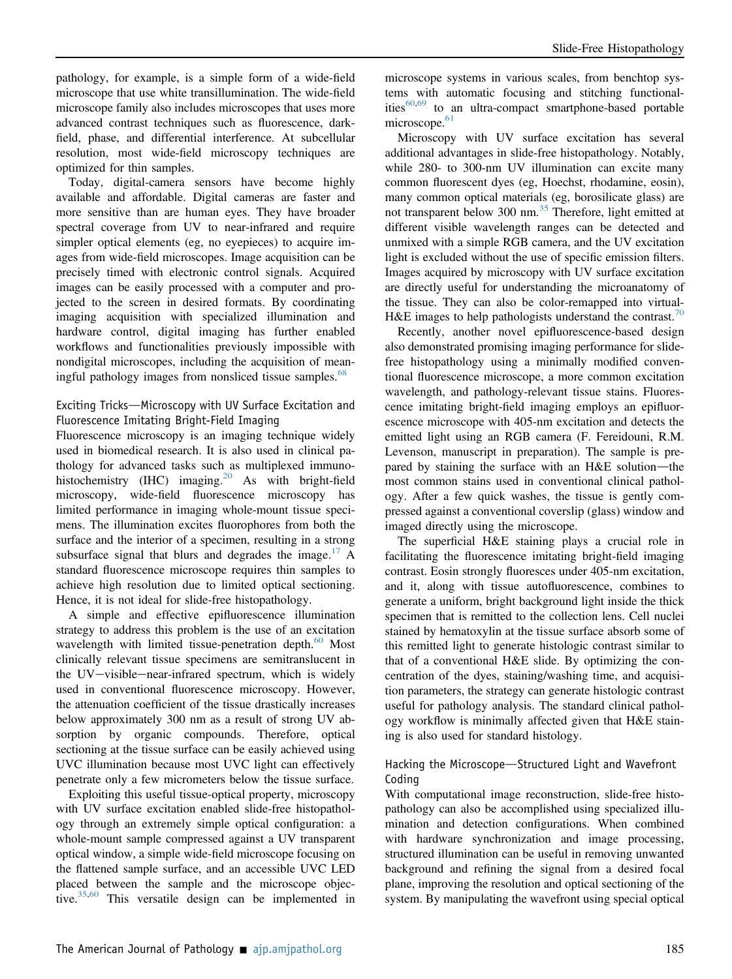pathology, for example, is a simple form of a wide-field microscope that use white transillumination. The wide-field microscope family also includes microscopes that uses more advanced contrast techniques such as fluorescence, darkfield, phase, and differential interference. At subcellular resolution, most wide-field microscopy techniques are optimized for thin samples.

Today, digital-camera sensors have become highly available and affordable. Digital cameras are faster and more sensitive than are human eyes. They have broader spectral coverage from UV to near-infrared and require simpler optical elements (eg, no eyepieces) to acquire images from wide-field microscopes. Image acquisition can be precisely timed with electronic control signals. Acquired images can be easily processed with a computer and projected to the screen in desired formats. By coordinating imaging acquisition with specialized illumination and hardware control, digital imaging has further enabled workflows and functionalities previously impossible with nondigital microscopes, including the acquisition of mean-ingful pathology images from nonsliced tissue samples.<sup>[68](#page-13-14)</sup>

#### Exciting Tricks-Microscopy with UV Surface Excitation and Fluorescence Imitating Bright-Field Imaging

Fluorescence microscopy is an imaging technique widely used in biomedical research. It is also used in clinical pathology for advanced tasks such as multiplexed immuno-histochemistry (IHC) imaging.<sup>[20](#page-12-19)</sup> As with bright-field microscopy, wide-field fluorescence microscopy has limited performance in imaging whole-mount tissue specimens. The illumination excites fluorophores from both the surface and the interior of a specimen, resulting in a strong subsurface signal that blurs and degrades the image.<sup>[17](#page-12-16)</sup> A standard fluorescence microscope requires thin samples to achieve high resolution due to limited optical sectioning. Hence, it is not ideal for slide-free histopathology.

A simple and effective epifluorescence illumination strategy to address this problem is the use of an excitation wavelength with limited tissue-penetration depth.<sup>[60](#page-13-8)</sup> Most clinically relevant tissue specimens are semitranslucent in the  $UV-visible-mean-infrared spectrum$ , which is widely used in conventional fluorescence microscopy. However, the attenuation coefficient of the tissue drastically increases below approximately 300 nm as a result of strong UV absorption by organic compounds. Therefore, optical sectioning at the tissue surface can be easily achieved using UVC illumination because most UVC light can effectively penetrate only a few micrometers below the tissue surface.

Exploiting this useful tissue-optical property, microscopy with UV surface excitation enabled slide-free histopathology through an extremely simple optical configuration: a whole-mount sample compressed against a UV transparent optical window, a simple wide-field microscope focusing on the flattened sample surface, and an accessible UVC LED placed between the sample and the microscope objective. $35,60$  $35,60$  This versatile design can be implemented in

microscope systems in various scales, from benchtop systems with automatic focusing and stitching functionalities $60,69$  $60,69$  to an ultra-compact smartphone-based portable microscope.<sup>[61](#page-13-9)</sup>

Microscopy with UV surface excitation has several additional advantages in slide-free histopathology. Notably, while 280- to 300-nm UV illumination can excite many common fluorescent dyes (eg, Hoechst, rhodamine, eosin), many common optical materials (eg, borosilicate glass) are not transparent below 300 nm.<sup>[35](#page-12-34)</sup> Therefore, light emitted at different visible wavelength ranges can be detected and unmixed with a simple RGB camera, and the UV excitation light is excluded without the use of specific emission filters. Images acquired by microscopy with UV surface excitation are directly useful for understanding the microanatomy of the tissue. They can also be color-remapped into virtual-H&E images to help pathologists understand the contrast.<sup>[70](#page-13-16)</sup>

Recently, another novel epifluorescence-based design also demonstrated promising imaging performance for slidefree histopathology using a minimally modified conventional fluorescence microscope, a more common excitation wavelength, and pathology-relevant tissue stains. Fluorescence imitating bright-field imaging employs an epifluorescence microscope with 405-nm excitation and detects the emitted light using an RGB camera (F. Fereidouni, R.M. Levenson, manuscript in preparation). The sample is prepared by staining the surface with an  $H \& E$  solution—the most common stains used in conventional clinical pathology. After a few quick washes, the tissue is gently compressed against a conventional coverslip (glass) window and imaged directly using the microscope.

The superficial H&E staining plays a crucial role in facilitating the fluorescence imitating bright-field imaging contrast. Eosin strongly fluoresces under 405-nm excitation, and it, along with tissue autofluorescence, combines to generate a uniform, bright background light inside the thick specimen that is remitted to the collection lens. Cell nuclei stained by hematoxylin at the tissue surface absorb some of this remitted light to generate histologic contrast similar to that of a conventional H&E slide. By optimizing the concentration of the dyes, staining/washing time, and acquisition parameters, the strategy can generate histologic contrast useful for pathology analysis. The standard clinical pathology workflow is minimally affected given that H&E staining is also used for standard histology.

#### Hacking the Microscope-Structured Light and Wavefront Coding

With computational image reconstruction, slide-free histopathology can also be accomplished using specialized illumination and detection configurations. When combined with hardware synchronization and image processing, structured illumination can be useful in removing unwanted background and refining the signal from a desired focal plane, improving the resolution and optical sectioning of the system. By manipulating the wavefront using special optical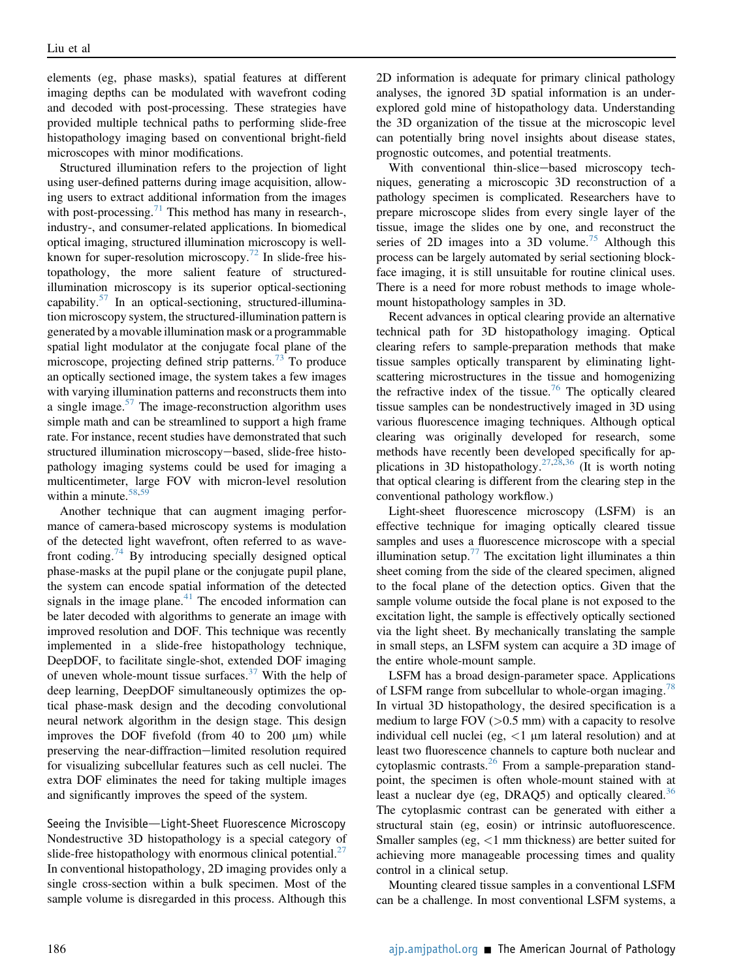elements (eg, phase masks), spatial features at different imaging depths can be modulated with wavefront coding and decoded with post-processing. These strategies have provided multiple technical paths to performing slide-free histopathology imaging based on conventional bright-field microscopes with minor modifications.

Structured illumination refers to the projection of light using user-defined patterns during image acquisition, allowing users to extract additional information from the images with post-processing. $71$  This method has many in research-, industry-, and consumer-related applications. In biomedical optical imaging, structured illumination microscopy is well-known for super-resolution microscopy.<sup>[72](#page-13-18)</sup> In slide-free histopathology, the more salient feature of structuredillumination microscopy is its superior optical-sectioning capability.[57](#page-13-7) In an optical-sectioning, structured-illumination microscopy system, the structured-illumination pattern is generated by a movable illumination mask or a programmable spatial light modulator at the conjugate focal plane of the microscope, projecting defined strip patterns.<sup>[73](#page-13-19)</sup> To produce an optically sectioned image, the system takes a few images with varying illumination patterns and reconstructs them into a single image. $57$  The image-reconstruction algorithm uses simple math and can be streamlined to support a high frame rate. For instance, recent studies have demonstrated that such structured illumination microscopy-based, slide-free histopathology imaging systems could be used for imaging a multicentimeter, large FOV with micron-level resolution within a minute.<sup>[58](#page-13-20),[59](#page-13-21)</sup>

Another technique that can augment imaging performance of camera-based microscopy systems is modulation of the detected light wavefront, often referred to as wave-front coding.<sup>[74](#page-13-22)</sup> By introducing specially designed optical phase-masks at the pupil plane or the conjugate pupil plane, the system can encode spatial information of the detected signals in the image plane. $41$  The encoded information can be later decoded with algorithms to generate an image with improved resolution and DOF. This technique was recently implemented in a slide-free histopathology technique, DeepDOF, to facilitate single-shot, extended DOF imaging of uneven whole-mount tissue surfaces. $37$  With the help of deep learning, DeepDOF simultaneously optimizes the optical phase-mask design and the decoding convolutional neural network algorithm in the design stage. This design improves the DOF fivefold (from 40 to 200  $\mu$ m) while preserving the near-diffraction-limited resolution required for visualizing subcellular features such as cell nuclei. The extra DOF eliminates the need for taking multiple images and significantly improves the speed of the system.

Seeing the Invisible-Light-Sheet Fluorescence Microscopy Nondestructive 3D histopathology is a special category of slide-free histopathology with enormous clinical potential. $27$ In conventional histopathology, 2D imaging provides only a single cross-section within a bulk specimen. Most of the sample volume is disregarded in this process. Although this 2D information is adequate for primary clinical pathology analyses, the ignored 3D spatial information is an underexplored gold mine of histopathology data. Understanding the 3D organization of the tissue at the microscopic level can potentially bring novel insights about disease states, prognostic outcomes, and potential treatments.

With conventional thin-slice-based microscopy techniques, generating a microscopic 3D reconstruction of a pathology specimen is complicated. Researchers have to prepare microscope slides from every single layer of the tissue, image the slides one by one, and reconstruct the series of 2D images into a 3D volume.<sup>[75](#page-13-23)</sup> Although this process can be largely automated by serial sectioning blockface imaging, it is still unsuitable for routine clinical uses. There is a need for more robust methods to image wholemount histopathology samples in 3D.

Recent advances in optical clearing provide an alternative technical path for 3D histopathology imaging. Optical clearing refers to sample-preparation methods that make tissue samples optically transparent by eliminating lightscattering microstructures in the tissue and homogenizing the refractive index of the tissue.<sup>[76](#page-13-24)</sup> The optically cleared tissue samples can be nondestructively imaged in 3D using various fluorescence imaging techniques. Although optical clearing was originally developed for research, some methods have recently been developed specifically for ap-plications in 3D histopathology.<sup>[27,](#page-12-26)[28,](#page-12-27)[36](#page-12-35)</sup> (It is worth noting that optical clearing is different from the clearing step in the conventional pathology workflow.)

Light-sheet fluorescence microscopy (LSFM) is an effective technique for imaging optically cleared tissue samples and uses a fluorescence microscope with a special illumination setup.<sup>[77](#page-14-0)</sup> The excitation light illuminates a thin sheet coming from the side of the cleared specimen, aligned to the focal plane of the detection optics. Given that the sample volume outside the focal plane is not exposed to the excitation light, the sample is effectively optically sectioned via the light sheet. By mechanically translating the sample in small steps, an LSFM system can acquire a 3D image of the entire whole-mount sample.

LSFM has a broad design-parameter space. Applications of LSFM range from subcellular to whole-organ imaging.<sup>78</sup> In virtual 3D histopathology, the desired specification is a medium to large  $FOV$  ( $>0.5$  mm) with a capacity to resolve individual cell nuclei (eg,  $\lt 1$  µm lateral resolution) and at least two fluorescence channels to capture both nuclear and cytoplasmic contrasts.<sup>[26](#page-12-25)</sup> From a sample-preparation standpoint, the specimen is often whole-mount stained with at least a nuclear dye (eg, DRAQ5) and optically cleared.<sup>[36](#page-12-35)</sup> The cytoplasmic contrast can be generated with either a structural stain (eg, eosin) or intrinsic autofluorescence. Smaller samples (eg, <1 mm thickness) are better suited for achieving more manageable processing times and quality control in a clinical setup.

Mounting cleared tissue samples in a conventional LSFM can be a challenge. In most conventional LSFM systems, a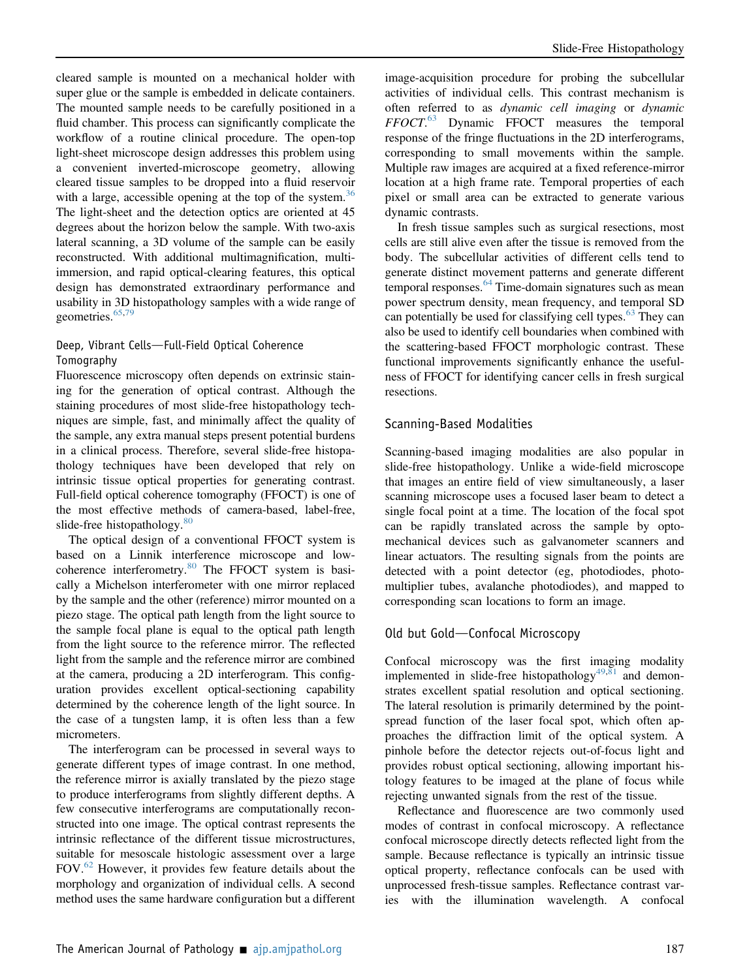cleared sample is mounted on a mechanical holder with super glue or the sample is embedded in delicate containers. The mounted sample needs to be carefully positioned in a fluid chamber. This process can significantly complicate the workflow of a routine clinical procedure. The open-top light-sheet microscope design addresses this problem using a convenient inverted-microscope geometry, allowing cleared tissue samples to be dropped into a fluid reservoir with a large, accessible opening at the top of the system.<sup>30</sup> The light-sheet and the detection optics are oriented at 45 degrees about the horizon below the sample. With two-axis lateral scanning, a 3D volume of the sample can be easily reconstructed. With additional multimagnification, multiimmersion, and rapid optical-clearing features, this optical design has demonstrated extraordinary performance and usability in 3D histopathology samples with a wide range of geometries. $65,79$  $65,79$  $65,79$ 

#### Deep, Vibrant Cells-Full-Field Optical Coherence Tomography

Fluorescence microscopy often depends on extrinsic staining for the generation of optical contrast. Although the staining procedures of most slide-free histopathology techniques are simple, fast, and minimally affect the quality of the sample, any extra manual steps present potential burdens in a clinical process. Therefore, several slide-free histopathology techniques have been developed that rely on intrinsic tissue optical properties for generating contrast. Full-field optical coherence tomography (FFOCT) is one of the most effective methods of camera-based, label-free, slide-free histopathology. $80$ 

The optical design of a conventional FFOCT system is based on a Linnik interference microscope and low-coherence interferometry.<sup>[80](#page-14-3)</sup> The FFOCT system is basically a Michelson interferometer with one mirror replaced by the sample and the other (reference) mirror mounted on a piezo stage. The optical path length from the light source to the sample focal plane is equal to the optical path length from the light source to the reference mirror. The reflected light from the sample and the reference mirror are combined at the camera, producing a 2D interferogram. This configuration provides excellent optical-sectioning capability determined by the coherence length of the light source. In the case of a tungsten lamp, it is often less than a few micrometers.

The interferogram can be processed in several ways to generate different types of image contrast. In one method, the reference mirror is axially translated by the piezo stage to produce interferograms from slightly different depths. A few consecutive interferograms are computationally reconstructed into one image. The optical contrast represents the intrinsic reflectance of the different tissue microstructures, suitable for mesoscale histologic assessment over a large FOV. $^{62}$  $^{62}$  $^{62}$  However, it provides few feature details about the morphology and organization of individual cells. A second method uses the same hardware configuration but a different

image-acquisition procedure for probing the subcellular activities of individual cells. This contrast mechanism is often referred to as dynamic cell imaging or dynamic FFOCT. [63](#page-13-25) Dynamic FFOCT measures the temporal response of the fringe fluctuations in the 2D interferograms, corresponding to small movements within the sample. Multiple raw images are acquired at a fixed reference-mirror location at a high frame rate. Temporal properties of each pixel or small area can be extracted to generate various dynamic contrasts.

In fresh tissue samples such as surgical resections, most cells are still alive even after the tissue is removed from the body. The subcellular activities of different cells tend to generate distinct movement patterns and generate different temporal responses.<sup>[64](#page-13-26)</sup> Time-domain signatures such as mean power spectrum density, mean frequency, and temporal SD can potentially be used for classifying cell types. $63$  They can also be used to identify cell boundaries when combined with the scattering-based FFOCT morphologic contrast. These functional improvements significantly enhance the usefulness of FFOCT for identifying cancer cells in fresh surgical resections.

#### Scanning-Based Modalities

Scanning-based imaging modalities are also popular in slide-free histopathology. Unlike a wide-field microscope that images an entire field of view simultaneously, a laser scanning microscope uses a focused laser beam to detect a single focal point at a time. The location of the focal spot can be rapidly translated across the sample by optomechanical devices such as galvanometer scanners and linear actuators. The resulting signals from the points are detected with a point detector (eg, photodiodes, photomultiplier tubes, avalanche photodiodes), and mapped to corresponding scan locations to form an image.

#### Old but Gold-Confocal Microscopy

Confocal microscopy was the first imaging modality implemented in slide-free histopathology<sup>[49](#page-13-27),[81](#page-14-4)</sup> and demonstrates excellent spatial resolution and optical sectioning. The lateral resolution is primarily determined by the pointspread function of the laser focal spot, which often approaches the diffraction limit of the optical system. A pinhole before the detector rejects out-of-focus light and provides robust optical sectioning, allowing important histology features to be imaged at the plane of focus while rejecting unwanted signals from the rest of the tissue.

Reflectance and fluorescence are two commonly used modes of contrast in confocal microscopy. A reflectance confocal microscope directly detects reflected light from the sample. Because reflectance is typically an intrinsic tissue optical property, reflectance confocals can be used with unprocessed fresh-tissue samples. Reflectance contrast varies with the illumination wavelength. A confocal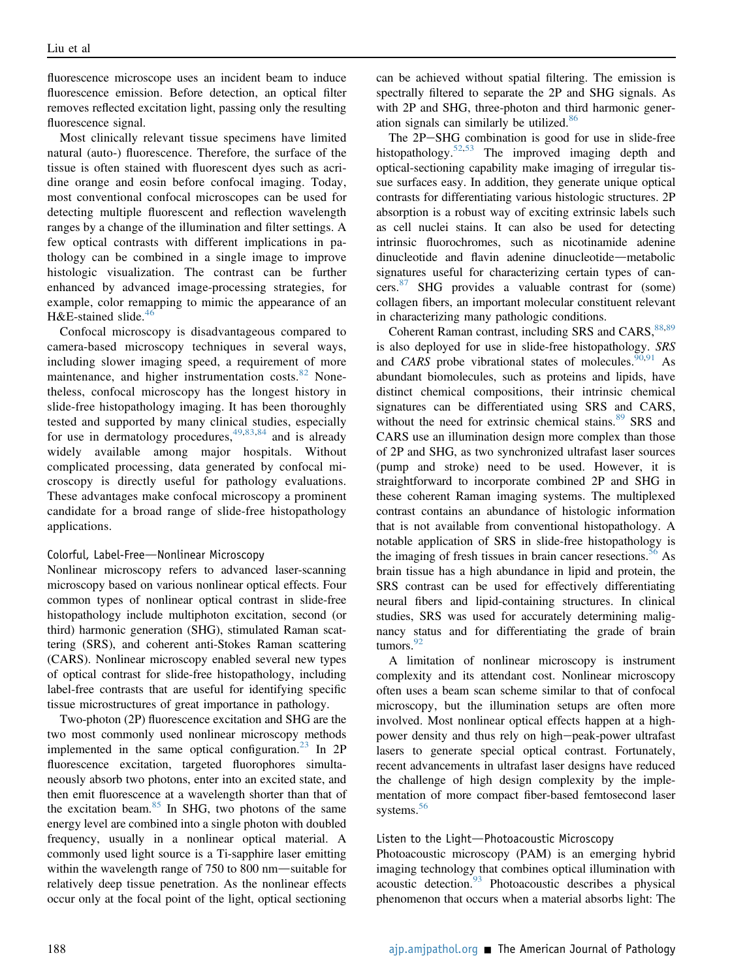fluorescence microscope uses an incident beam to induce fluorescence emission. Before detection, an optical filter removes reflected excitation light, passing only the resulting fluorescence signal.

Most clinically relevant tissue specimens have limited natural (auto-) fluorescence. Therefore, the surface of the tissue is often stained with fluorescent dyes such as acridine orange and eosin before confocal imaging. Today, most conventional confocal microscopes can be used for detecting multiple fluorescent and reflection wavelength ranges by a change of the illumination and filter settings. A few optical contrasts with different implications in pathology can be combined in a single image to improve histologic visualization. The contrast can be further enhanced by advanced image-processing strategies, for example, color remapping to mimic the appearance of an H&E-stained slide. $46$ 

Confocal microscopy is disadvantageous compared to camera-based microscopy techniques in several ways, including slower imaging speed, a requirement of more maintenance, and higher instrumentation costs.<sup>[82](#page-14-5)</sup> Nonetheless, confocal microscopy has the longest history in slide-free histopathology imaging. It has been thoroughly tested and supported by many clinical studies, especially for use in dermatology procedures,  $49,83,84$  $49,83,84$  $49,83,84$  and is already widely available among major hospitals. Without complicated processing, data generated by confocal microscopy is directly useful for pathology evaluations. These advantages make confocal microscopy a prominent candidate for a broad range of slide-free histopathology applications.

#### Colorful, Label-Free-Nonlinear Microscopy

Nonlinear microscopy refers to advanced laser-scanning microscopy based on various nonlinear optical effects. Four common types of nonlinear optical contrast in slide-free histopathology include multiphoton excitation, second (or third) harmonic generation (SHG), stimulated Raman scattering (SRS), and coherent anti-Stokes Raman scattering (CARS). Nonlinear microscopy enabled several new types of optical contrast for slide-free histopathology, including label-free contrasts that are useful for identifying specific tissue microstructures of great importance in pathology.

Two-photon (2P) fluorescence excitation and SHG are the two most commonly used nonlinear microscopy methods implemented in the same optical configuration. $^{23}$  $^{23}$  $^{23}$  In 2P fluorescence excitation, targeted fluorophores simultaneously absorb two photons, enter into an excited state, and then emit fluorescence at a wavelength shorter than that of the excitation beam.<sup>[85](#page-14-8)</sup> In SHG, two photons of the same energy level are combined into a single photon with doubled frequency, usually in a nonlinear optical material. A commonly used light source is a Ti-sapphire laser emitting within the wavelength range of  $750$  to  $800$  nm—suitable for relatively deep tissue penetration. As the nonlinear effects occur only at the focal point of the light, optical sectioning can be achieved without spatial filtering. The emission is spectrally filtered to separate the 2P and SHG signals. As with 2P and SHG, three-photon and third harmonic generation signals can similarly be utilized.[86](#page-14-9)

The 2P-SHG combination is good for use in slide-free histopathology.<sup>[52,](#page-13-6)[53](#page-13-28)</sup> The improved imaging depth and optical-sectioning capability make imaging of irregular tissue surfaces easy. In addition, they generate unique optical contrasts for differentiating various histologic structures. 2P absorption is a robust way of exciting extrinsic labels such as cell nuclei stains. It can also be used for detecting intrinsic fluorochromes, such as nicotinamide adenine dinucleotide and flavin adenine dinucleotide—metabolic signatures useful for characterizing certain types of cancers. $87$  SHG provides a valuable contrast for (some) collagen fibers, an important molecular constituent relevant in characterizing many pathologic conditions.

Coherent Raman contrast, including SRS and CARS, [88](#page-14-11)[,89](#page-14-12) is also deployed for use in slide-free histopathology. SRS and CARS probe vibrational states of molecules.  $90,91$  $90,91$  As abundant biomolecules, such as proteins and lipids, have distinct chemical compositions, their intrinsic chemical signatures can be differentiated using SRS and CARS, without the need for extrinsic chemical stains.<sup>[89](#page-14-12)</sup> SRS and CARS use an illumination design more complex than those of 2P and SHG, as two synchronized ultrafast laser sources (pump and stroke) need to be used. However, it is straightforward to incorporate combined 2P and SHG in these coherent Raman imaging systems. The multiplexed contrast contains an abundance of histologic information that is not available from conventional histopathology. A notable application of SRS in slide-free histopathology is the imaging of fresh tissues in brain cancer resections.<sup>[56](#page-13-29)</sup> As brain tissue has a high abundance in lipid and protein, the SRS contrast can be used for effectively differentiating neural fibers and lipid-containing structures. In clinical studies, SRS was used for accurately determining malignancy status and for differentiating the grade of brain tumors. $92$ 

A limitation of nonlinear microscopy is instrument complexity and its attendant cost. Nonlinear microscopy often uses a beam scan scheme similar to that of confocal microscopy, but the illumination setups are often more involved. Most nonlinear optical effects happen at a highpower density and thus rely on high-peak-power ultrafast lasers to generate special optical contrast. Fortunately, recent advancements in ultrafast laser designs have reduced the challenge of high design complexity by the implementation of more compact fiber-based femtosecond laser systems.<sup>[56](#page-13-29)</sup>

#### Listen to the Light-Photoacoustic Microscopy

Photoacoustic microscopy (PAM) is an emerging hybrid imaging technology that combines optical illumination with acoustic detection.[93](#page-14-16) Photoacoustic describes a physical phenomenon that occurs when a material absorbs light: The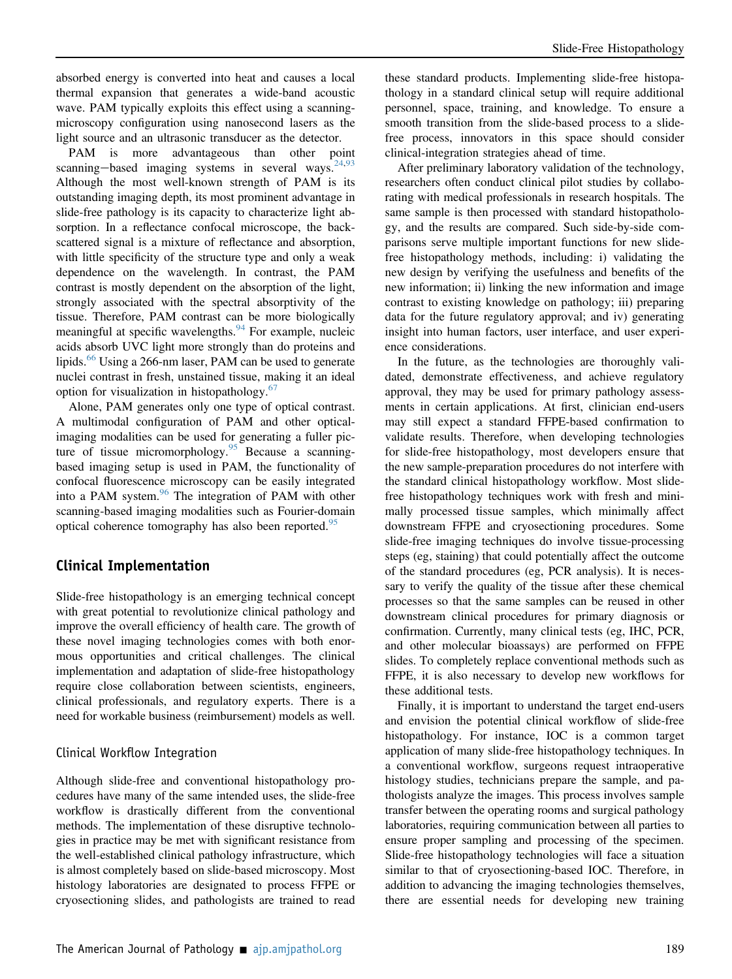absorbed energy is converted into heat and causes a local thermal expansion that generates a wide-band acoustic wave. PAM typically exploits this effect using a scanningmicroscopy configuration using nanosecond lasers as the light source and an ultrasonic transducer as the detector.

PAM is more advantageous than other point scanning-based imaging systems in several ways. $24,93$  $24,93$ Although the most well-known strength of PAM is its outstanding imaging depth, its most prominent advantage in slide-free pathology is its capacity to characterize light absorption. In a reflectance confocal microscope, the backscattered signal is a mixture of reflectance and absorption, with little specificity of the structure type and only a weak dependence on the wavelength. In contrast, the PAM contrast is mostly dependent on the absorption of the light, strongly associated with the spectral absorptivity of the tissue. Therefore, PAM contrast can be more biologically meaningful at specific wavelengths.  $94$  For example, nucleic acids absorb UVC light more strongly than do proteins and lipids.<sup>[66](#page-13-12)</sup> Using a 266-nm laser, PAM can be used to generate nuclei contrast in fresh, unstained tissue, making it an ideal option for visualization in histopathology.<sup>[67](#page-13-13)</sup>

Alone, PAM generates only one type of optical contrast. A multimodal configuration of PAM and other opticalimaging modalities can be used for generating a fuller pic-ture of tissue micromorphology.<sup>[95](#page-14-18)</sup> Because a scanningbased imaging setup is used in PAM, the functionality of confocal fluorescence microscopy can be easily integrated into a PAM system.<sup>[96](#page-14-19)</sup> The integration of PAM with other scanning-based imaging modalities such as Fourier-domain optical coherence tomography has also been reported.<sup>[95](#page-14-18)</sup>

#### Clinical Implementation

Slide-free histopathology is an emerging technical concept with great potential to revolutionize clinical pathology and improve the overall efficiency of health care. The growth of these novel imaging technologies comes with both enormous opportunities and critical challenges. The clinical implementation and adaptation of slide-free histopathology require close collaboration between scientists, engineers, clinical professionals, and regulatory experts. There is a need for workable business (reimbursement) models as well.

#### Clinical Workflow Integration

Although slide-free and conventional histopathology procedures have many of the same intended uses, the slide-free workflow is drastically different from the conventional methods. The implementation of these disruptive technologies in practice may be met with significant resistance from the well-established clinical pathology infrastructure, which is almost completely based on slide-based microscopy. Most histology laboratories are designated to process FFPE or cryosectioning slides, and pathologists are trained to read

these standard products. Implementing slide-free histopathology in a standard clinical setup will require additional personnel, space, training, and knowledge. To ensure a smooth transition from the slide-based process to a slidefree process, innovators in this space should consider clinical-integration strategies ahead of time.

After preliminary laboratory validation of the technology, researchers often conduct clinical pilot studies by collaborating with medical professionals in research hospitals. The same sample is then processed with standard histopathology, and the results are compared. Such side-by-side comparisons serve multiple important functions for new slidefree histopathology methods, including: i) validating the new design by verifying the usefulness and benefits of the new information; ii) linking the new information and image contrast to existing knowledge on pathology; iii) preparing data for the future regulatory approval; and iv) generating insight into human factors, user interface, and user experience considerations.

In the future, as the technologies are thoroughly validated, demonstrate effectiveness, and achieve regulatory approval, they may be used for primary pathology assessments in certain applications. At first, clinician end-users may still expect a standard FFPE-based confirmation to validate results. Therefore, when developing technologies for slide-free histopathology, most developers ensure that the new sample-preparation procedures do not interfere with the standard clinical histopathology workflow. Most slidefree histopathology techniques work with fresh and minimally processed tissue samples, which minimally affect downstream FFPE and cryosectioning procedures. Some slide-free imaging techniques do involve tissue-processing steps (eg, staining) that could potentially affect the outcome of the standard procedures (eg, PCR analysis). It is necessary to verify the quality of the tissue after these chemical processes so that the same samples can be reused in other downstream clinical procedures for primary diagnosis or confirmation. Currently, many clinical tests (eg, IHC, PCR, and other molecular bioassays) are performed on FFPE slides. To completely replace conventional methods such as FFPE, it is also necessary to develop new workflows for these additional tests.

Finally, it is important to understand the target end-users and envision the potential clinical workflow of slide-free histopathology. For instance, IOC is a common target application of many slide-free histopathology techniques. In a conventional workflow, surgeons request intraoperative histology studies, technicians prepare the sample, and pathologists analyze the images. This process involves sample transfer between the operating rooms and surgical pathology laboratories, requiring communication between all parties to ensure proper sampling and processing of the specimen. Slide-free histopathology technologies will face a situation similar to that of cryosectioning-based IOC. Therefore, in addition to advancing the imaging technologies themselves, there are essential needs for developing new training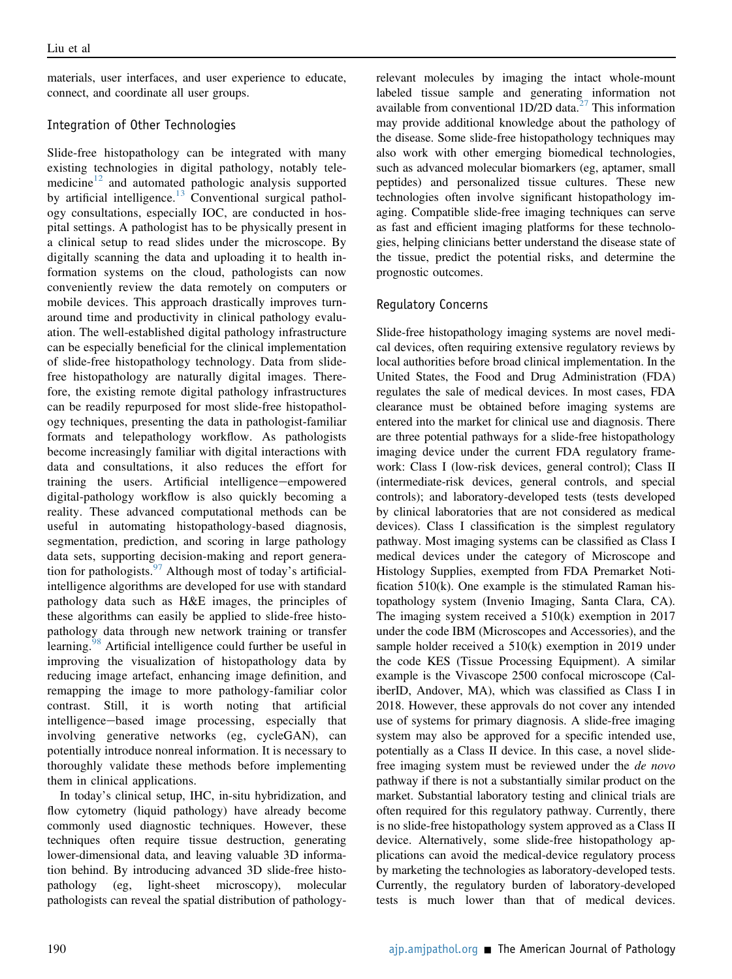materials, user interfaces, and user experience to educate, connect, and coordinate all user groups.

#### Integration of Other Technologies

Slide-free histopathology can be integrated with many existing technologies in digital pathology, notably tele-medicine<sup>[12](#page-12-11)</sup> and automated pathologic analysis supported by artificial intelligence. $13$  Conventional surgical pathology consultations, especially IOC, are conducted in hospital settings. A pathologist has to be physically present in a clinical setup to read slides under the microscope. By digitally scanning the data and uploading it to health information systems on the cloud, pathologists can now conveniently review the data remotely on computers or mobile devices. This approach drastically improves turnaround time and productivity in clinical pathology evaluation. The well-established digital pathology infrastructure can be especially beneficial for the clinical implementation of slide-free histopathology technology. Data from slidefree histopathology are naturally digital images. Therefore, the existing remote digital pathology infrastructures can be readily repurposed for most slide-free histopathology techniques, presenting the data in pathologist-familiar formats and telepathology workflow. As pathologists become increasingly familiar with digital interactions with data and consultations, it also reduces the effort for training the users. Artificial intelligence-empowered digital-pathology workflow is also quickly becoming a reality. These advanced computational methods can be useful in automating histopathology-based diagnosis, segmentation, prediction, and scoring in large pathology data sets, supporting decision-making and report generation for pathologists.  $97$  Although most of today's artificialintelligence algorithms are developed for use with standard pathology data such as H&E images, the principles of these algorithms can easily be applied to slide-free histopathology data through new network training or transfer learning.<sup>[98](#page-14-21)</sup> Artificial intelligence could further be useful in improving the visualization of histopathology data by reducing image artefact, enhancing image definition, and remapping the image to more pathology-familiar color contrast. Still, it is worth noting that artificial intelligence-based image processing, especially that involving generative networks (eg, cycleGAN), can potentially introduce nonreal information. It is necessary to thoroughly validate these methods before implementing them in clinical applications.

In today's clinical setup, IHC, in-situ hybridization, and flow cytometry (liquid pathology) have already become commonly used diagnostic techniques. However, these techniques often require tissue destruction, generating lower-dimensional data, and leaving valuable 3D information behind. By introducing advanced 3D slide-free histopathology (eg, light-sheet microscopy), molecular pathologists can reveal the spatial distribution of pathologyrelevant molecules by imaging the intact whole-mount labeled tissue sample and generating information not available from conventional  $1D/2D$  data.<sup>[27](#page-12-26)</sup> This information may provide additional knowledge about the pathology of the disease. Some slide-free histopathology techniques may also work with other emerging biomedical technologies, such as advanced molecular biomarkers (eg, aptamer, small peptides) and personalized tissue cultures. These new technologies often involve significant histopathology imaging. Compatible slide-free imaging techniques can serve as fast and efficient imaging platforms for these technologies, helping clinicians better understand the disease state of the tissue, predict the potential risks, and determine the prognostic outcomes.

#### Regulatory Concerns

Slide-free histopathology imaging systems are novel medical devices, often requiring extensive regulatory reviews by local authorities before broad clinical implementation. In the United States, the Food and Drug Administration (FDA) regulates the sale of medical devices. In most cases, FDA clearance must be obtained before imaging systems are entered into the market for clinical use and diagnosis. There are three potential pathways for a slide-free histopathology imaging device under the current FDA regulatory framework: Class I (low-risk devices, general control); Class II (intermediate-risk devices, general controls, and special controls); and laboratory-developed tests (tests developed by clinical laboratories that are not considered as medical devices). Class I classification is the simplest regulatory pathway. Most imaging systems can be classified as Class I medical devices under the category of Microscope and Histology Supplies, exempted from FDA Premarket Notification 510(k). One example is the stimulated Raman histopathology system (Invenio Imaging, Santa Clara, CA). The imaging system received a 510(k) exemption in 2017 under the code IBM (Microscopes and Accessories), and the sample holder received a 510(k) exemption in 2019 under the code KES (Tissue Processing Equipment). A similar example is the Vivascope 2500 confocal microscope (CaliberID, Andover, MA), which was classified as Class I in 2018. However, these approvals do not cover any intended use of systems for primary diagnosis. A slide-free imaging system may also be approved for a specific intended use, potentially as a Class II device. In this case, a novel slidefree imaging system must be reviewed under the de novo pathway if there is not a substantially similar product on the market. Substantial laboratory testing and clinical trials are often required for this regulatory pathway. Currently, there is no slide-free histopathology system approved as a Class II device. Alternatively, some slide-free histopathology applications can avoid the medical-device regulatory process by marketing the technologies as laboratory-developed tests. Currently, the regulatory burden of laboratory-developed tests is much lower than that of medical devices.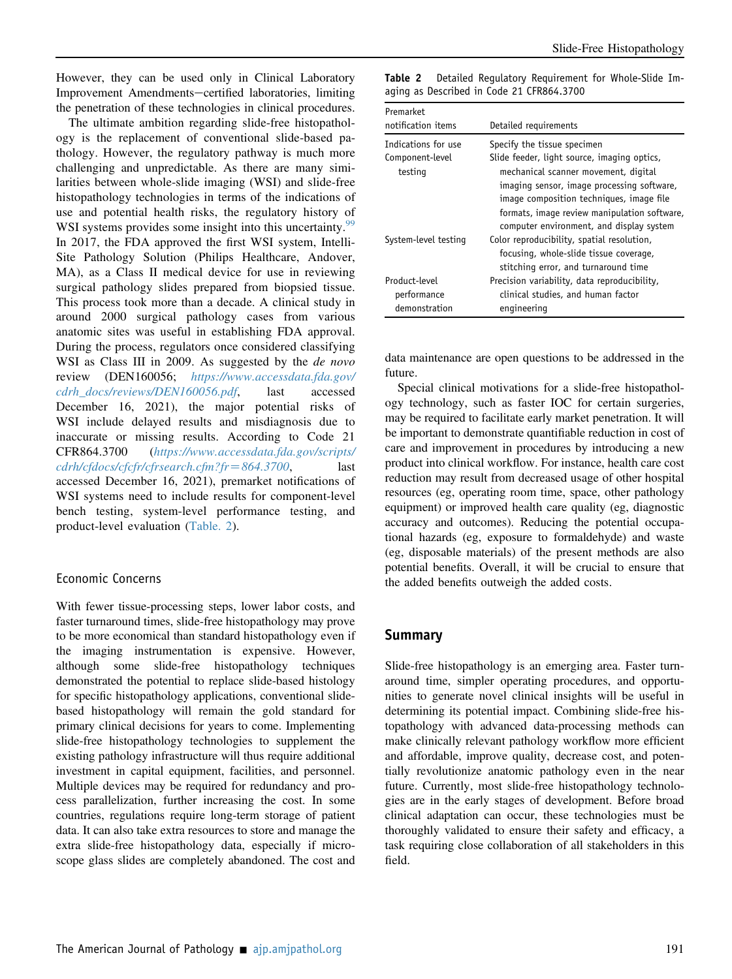However, they can be used only in Clinical Laboratory Improvement Amendments-certified laboratories, limiting the penetration of these technologies in clinical procedures.

The ultimate ambition regarding slide-free histopathology is the replacement of conventional slide-based pathology. However, the regulatory pathway is much more challenging and unpredictable. As there are many similarities between whole-slide imaging (WSI) and slide-free histopathology technologies in terms of the indications of use and potential health risks, the regulatory history of WSI systems provides some insight into this uncertainty.<sup>[99](#page-14-22)</sup> In 2017, the FDA approved the first WSI system, Intelli-Site Pathology Solution (Philips Healthcare, Andover, MA), as a Class II medical device for use in reviewing surgical pathology slides prepared from biopsied tissue. This process took more than a decade. A clinical study in around 2000 surgical pathology cases from various anatomic sites was useful in establishing FDA approval. During the process, regulators once considered classifying WSI as Class III in 2009. As suggested by the *de novo* review (DEN160056; [https://www.accessdata.fda.gov/](https://www.accessdata.fda.gov/cdrh_docs/reviews/DEN160056.pdf) [cdrh\\_docs/reviews/DEN160056.pdf](https://www.accessdata.fda.gov/cdrh_docs/reviews/DEN160056.pdf), last accessed December 16, 2021), the major potential risks of WSI include delayed results and misdiagnosis due to inaccurate or missing results. According to Code 21 CFR864.3700 ([https://www.accessdata.fda.gov/scripts/](https://www.accessdata.fda.gov/scripts/cdrh/cfdocs/cfcfr/cfrsearch.cfm?fr=864.3700)  $cdrh/cfdocs/cfcfr/cfrsearch.cfm?fr = 864.3700,$  $cdrh/cfdocs/cfcfr/cfrsearch.cfm?fr = 864.3700,$  last accessed December 16, 2021), premarket notifications of WSI systems need to include results for component-level bench testing, system-level performance testing, and product-level evaluation [\(Table. 2\)](#page-11-0).

#### Economic Concerns

With fewer tissue-processing steps, lower labor costs, and faster turnaround times, slide-free histopathology may prove to be more economical than standard histopathology even if the imaging instrumentation is expensive. However, although some slide-free histopathology techniques demonstrated the potential to replace slide-based histology for specific histopathology applications, conventional slidebased histopathology will remain the gold standard for primary clinical decisions for years to come. Implementing slide-free histopathology technologies to supplement the existing pathology infrastructure will thus require additional investment in capital equipment, facilities, and personnel. Multiple devices may be required for redundancy and process parallelization, further increasing the cost. In some countries, regulations require long-term storage of patient data. It can also take extra resources to store and manage the extra slide-free histopathology data, especially if microscope glass slides are completely abandoned. The cost and

<span id="page-11-0"></span>Table 2 Detailed Regulatory Requirement for Whole-Slide Imaging as Described in Code 21 CFR864.3700

| <b>Premarket</b><br>notification items            | Detailed requirements                                                                                                                                                                                                                                                                                    |
|---------------------------------------------------|----------------------------------------------------------------------------------------------------------------------------------------------------------------------------------------------------------------------------------------------------------------------------------------------------------|
| Indications for use<br>Component-level<br>testing | Specify the tissue specimen<br>Slide feeder, light source, imaging optics,<br>mechanical scanner movement, digital<br>imaging sensor, image processing software,<br>image composition techniques, image file<br>formats, image review manipulation software,<br>computer environment, and display system |
| System-level testing                              | Color reproducibility, spatial resolution,<br>focusing, whole-slide tissue coverage,<br>stitching error, and turnaround time                                                                                                                                                                             |
| Product-level<br>performance<br>demonstration     | Precision variability, data reproducibility,<br>clinical studies, and human factor<br>engineering                                                                                                                                                                                                        |

data maintenance are open questions to be addressed in the future.

Special clinical motivations for a slide-free histopathology technology, such as faster IOC for certain surgeries, may be required to facilitate early market penetration. It will be important to demonstrate quantifiable reduction in cost of care and improvement in procedures by introducing a new product into clinical workflow. For instance, health care cost reduction may result from decreased usage of other hospital resources (eg, operating room time, space, other pathology equipment) or improved health care quality (eg, diagnostic accuracy and outcomes). Reducing the potential occupational hazards (eg, exposure to formaldehyde) and waste (eg, disposable materials) of the present methods are also potential benefits. Overall, it will be crucial to ensure that the added benefits outweigh the added costs.

#### Summary

Slide-free histopathology is an emerging area. Faster turnaround time, simpler operating procedures, and opportunities to generate novel clinical insights will be useful in determining its potential impact. Combining slide-free histopathology with advanced data-processing methods can make clinically relevant pathology workflow more efficient and affordable, improve quality, decrease cost, and potentially revolutionize anatomic pathology even in the near future. Currently, most slide-free histopathology technologies are in the early stages of development. Before broad clinical adaptation can occur, these technologies must be thoroughly validated to ensure their safety and efficacy, a task requiring close collaboration of all stakeholders in this field.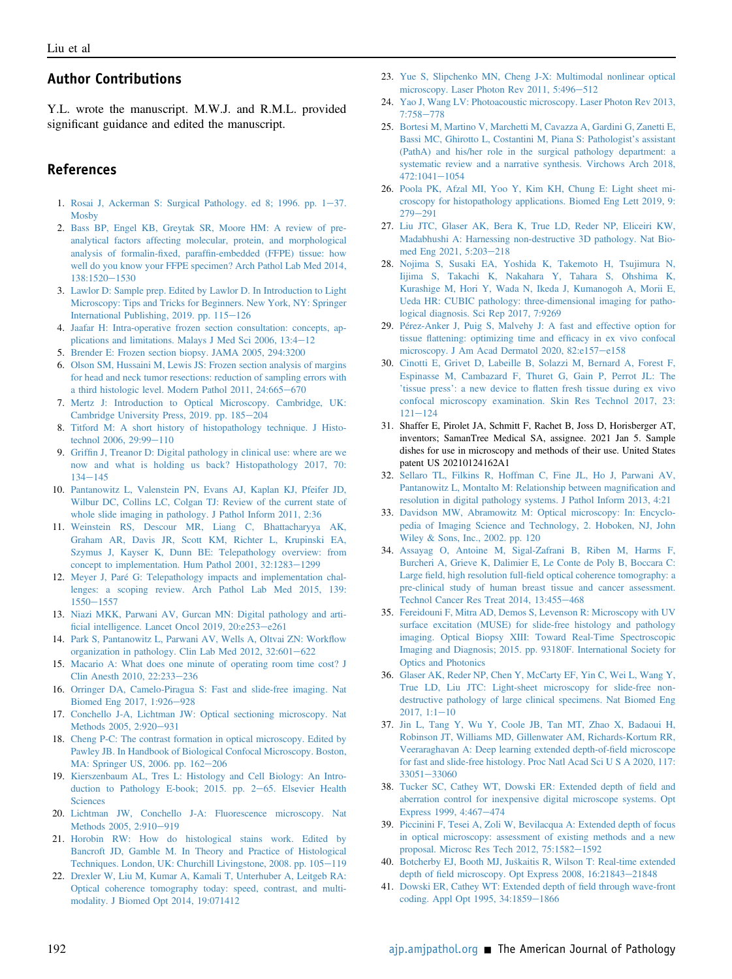#### Author Contributions

Y.L. wrote the manuscript. M.W.J. and R.M.L. provided significant guidance and edited the manuscript.

#### References

- <span id="page-12-1"></span><span id="page-12-0"></span>1. Rosai J, Ackerman S: Surgical Pathology. ed 8; 1996. pp.  $1-37$ . **[Mosby](http://refhub.elsevier.com/S0002-9440(21)00471-5/sref1)**
- 2. [Bass BP, Engel KB, Greytak SR, Moore HM: A review of pre](http://refhub.elsevier.com/S0002-9440(21)00471-5/sref2)[analytical factors affecting molecular, protein, and morphological](http://refhub.elsevier.com/S0002-9440(21)00471-5/sref2) analysis of formalin-fixed, paraffi[n-embedded \(FFPE\) tissue: how](http://refhub.elsevier.com/S0002-9440(21)00471-5/sref2) [well do you know your FFPE specimen? Arch Pathol Lab Med 2014,](http://refhub.elsevier.com/S0002-9440(21)00471-5/sref2) [138:1520](http://refhub.elsevier.com/S0002-9440(21)00471-5/sref2)-[1530](http://refhub.elsevier.com/S0002-9440(21)00471-5/sref2)
- <span id="page-12-2"></span>3. [Lawlor D: Sample prep. Edited by Lawlor D. In Introduction to Light](http://refhub.elsevier.com/S0002-9440(21)00471-5/sref3) [Microscopy: Tips and Tricks for Beginners. New York, NY: Springer](http://refhub.elsevier.com/S0002-9440(21)00471-5/sref3) [International Publishing, 2019. pp. 115](http://refhub.elsevier.com/S0002-9440(21)00471-5/sref3)-[126](http://refhub.elsevier.com/S0002-9440(21)00471-5/sref3)
- <span id="page-12-4"></span><span id="page-12-3"></span>4. [Jaafar H: Intra-operative frozen section consultation: concepts, ap](http://refhub.elsevier.com/S0002-9440(21)00471-5/sref4)[plications and limitations. Malays J Med Sci 2006, 13:4](http://refhub.elsevier.com/S0002-9440(21)00471-5/sref4)-[12](http://refhub.elsevier.com/S0002-9440(21)00471-5/sref4)
- <span id="page-12-5"></span>5. [Brender E: Frozen section biopsy. JAMA 2005, 294:3200](http://refhub.elsevier.com/S0002-9440(21)00471-5/sref5)
- 6. [Olson SM, Hussaini M, Lewis JS: Frozen section analysis of margins](http://refhub.elsevier.com/S0002-9440(21)00471-5/sref6) [for head and neck tumor resections: reduction of sampling errors with](http://refhub.elsevier.com/S0002-9440(21)00471-5/sref6) [a third histologic level. Modern Pathol 2011, 24:665](http://refhub.elsevier.com/S0002-9440(21)00471-5/sref6)-[670](http://refhub.elsevier.com/S0002-9440(21)00471-5/sref6)
- <span id="page-12-7"></span><span id="page-12-6"></span>7. [Mertz J: Introduction to Optical Microscopy. Cambridge, UK:](http://refhub.elsevier.com/S0002-9440(21)00471-5/sref7) [Cambridge University Press, 2019. pp. 185](http://refhub.elsevier.com/S0002-9440(21)00471-5/sref7)-[204](http://refhub.elsevier.com/S0002-9440(21)00471-5/sref7)
- <span id="page-12-8"></span>8. [Titford M: A short history of histopathology technique. J Histo](http://refhub.elsevier.com/S0002-9440(21)00471-5/sref8)[technol 2006, 29:99](http://refhub.elsevier.com/S0002-9440(21)00471-5/sref8)-[110](http://refhub.elsevier.com/S0002-9440(21)00471-5/sref8)
- 9. Griffi[n J, Treanor D: Digital pathology in clinical use: where are we](http://refhub.elsevier.com/S0002-9440(21)00471-5/sref9) [now and what is holding us back? Histopathology 2017, 70:](http://refhub.elsevier.com/S0002-9440(21)00471-5/sref9)  $134 - 145$  $134 - 145$  $134 - 145$
- <span id="page-12-9"></span>10. [Pantanowitz L, Valenstein PN, Evans AJ, Kaplan KJ, Pfeifer JD,](http://refhub.elsevier.com/S0002-9440(21)00471-5/sref10) [Wilbur DC, Collins LC, Colgan TJ: Review of the current state of](http://refhub.elsevier.com/S0002-9440(21)00471-5/sref10) [whole slide imaging in pathology. J Pathol Inform 2011, 2:36](http://refhub.elsevier.com/S0002-9440(21)00471-5/sref10)
- <span id="page-12-10"></span>11. [Weinstein RS, Descour MR, Liang C, Bhattacharyya AK,](http://refhub.elsevier.com/S0002-9440(21)00471-5/sref11) [Graham AR, Davis JR, Scott KM, Richter L, Krupinski EA,](http://refhub.elsevier.com/S0002-9440(21)00471-5/sref11) [Szymus J, Kayser K, Dunn BE: Telepathology overview: from](http://refhub.elsevier.com/S0002-9440(21)00471-5/sref11) [concept to implementation. Hum Pathol 2001, 32:1283](http://refhub.elsevier.com/S0002-9440(21)00471-5/sref11)-[1299](http://refhub.elsevier.com/S0002-9440(21)00471-5/sref11)
- <span id="page-12-11"></span>12. [Meyer J, Paré G: Telepathology impacts and implementation chal](http://refhub.elsevier.com/S0002-9440(21)00471-5/sref12)[lenges: a scoping review. Arch Pathol Lab Med 2015, 139:](http://refhub.elsevier.com/S0002-9440(21)00471-5/sref12)  $1550 - 1557$  $1550 - 1557$  $1550 - 1557$
- <span id="page-12-13"></span><span id="page-12-12"></span>13. [Niazi MKK, Parwani AV, Gurcan MN: Digital pathology and arti](http://refhub.elsevier.com/S0002-9440(21)00471-5/sref13)fi[cial intelligence. Lancet Oncol 2019, 20:e253](http://refhub.elsevier.com/S0002-9440(21)00471-5/sref13)-[e261](http://refhub.elsevier.com/S0002-9440(21)00471-5/sref13)
- <span id="page-12-14"></span>14. [Park S, Pantanowitz L, Parwani AV, Wells A, Oltvai ZN: Work](http://refhub.elsevier.com/S0002-9440(21)00471-5/sref14)flow [organization in pathology. Clin Lab Med 2012, 32:601](http://refhub.elsevier.com/S0002-9440(21)00471-5/sref14)-[622](http://refhub.elsevier.com/S0002-9440(21)00471-5/sref14)
- <span id="page-12-15"></span>15. [Macario A: What does one minute of operating room time cost? J](http://refhub.elsevier.com/S0002-9440(21)00471-5/sref15) [Clin Anesth 2010, 22:233](http://refhub.elsevier.com/S0002-9440(21)00471-5/sref15)-[236](http://refhub.elsevier.com/S0002-9440(21)00471-5/sref15)
- <span id="page-12-16"></span>16. [Orringer DA, Camelo-Piragua S: Fast and slide-free imaging. Nat](http://refhub.elsevier.com/S0002-9440(21)00471-5/sref16) [Biomed Eng 2017, 1:926](http://refhub.elsevier.com/S0002-9440(21)00471-5/sref16)-[928](http://refhub.elsevier.com/S0002-9440(21)00471-5/sref16)
- <span id="page-12-17"></span>17. [Conchello J-A, Lichtman JW: Optical sectioning microscopy. Nat](http://refhub.elsevier.com/S0002-9440(21)00471-5/sref17) [Methods 2005, 2:920](http://refhub.elsevier.com/S0002-9440(21)00471-5/sref17)-[931](http://refhub.elsevier.com/S0002-9440(21)00471-5/sref17)
- 18. [Cheng P-C: The contrast formation in optical microscopy. Edited by](http://refhub.elsevier.com/S0002-9440(21)00471-5/sref18) [Pawley JB. In Handbook of Biological Confocal Microscopy. Boston,](http://refhub.elsevier.com/S0002-9440(21)00471-5/sref18) [MA: Springer US, 2006. pp. 162](http://refhub.elsevier.com/S0002-9440(21)00471-5/sref18)-[206](http://refhub.elsevier.com/S0002-9440(21)00471-5/sref18)
- <span id="page-12-18"></span>19. [Kierszenbaum AL, Tres L: Histology and Cell Biology: An Intro](http://refhub.elsevier.com/S0002-9440(21)00471-5/sref19)[duction to Pathology E-book; 2015. pp. 2](http://refhub.elsevier.com/S0002-9440(21)00471-5/sref19)-[65. Elsevier Health](http://refhub.elsevier.com/S0002-9440(21)00471-5/sref19) **[Sciences](http://refhub.elsevier.com/S0002-9440(21)00471-5/sref19)**
- <span id="page-12-20"></span><span id="page-12-19"></span>20. [Lichtman JW, Conchello J-A: Fluorescence microscopy. Nat](http://refhub.elsevier.com/S0002-9440(21)00471-5/sref20) [Methods 2005, 2:910](http://refhub.elsevier.com/S0002-9440(21)00471-5/sref20)-[919](http://refhub.elsevier.com/S0002-9440(21)00471-5/sref20)
- 21. [Horobin RW: How do histological stains work. Edited by](http://refhub.elsevier.com/S0002-9440(21)00471-5/sref21) [Bancroft JD, Gamble M. In Theory and Practice of Histological](http://refhub.elsevier.com/S0002-9440(21)00471-5/sref21) [Techniques. London, UK: Churchill Livingstone, 2008. pp. 105](http://refhub.elsevier.com/S0002-9440(21)00471-5/sref21)-[119](http://refhub.elsevier.com/S0002-9440(21)00471-5/sref21)
- <span id="page-12-21"></span>22. [Drexler W, Liu M, Kumar A, Kamali T, Unterhuber A, Leitgeb RA:](http://refhub.elsevier.com/S0002-9440(21)00471-5/sref22) [Optical coherence tomography today: speed, contrast, and multi](http://refhub.elsevier.com/S0002-9440(21)00471-5/sref22)[modality. J Biomed Opt 2014, 19:071412](http://refhub.elsevier.com/S0002-9440(21)00471-5/sref22)
- <span id="page-12-22"></span>23. [Yue S, Slipchenko MN, Cheng J-X: Multimodal nonlinear optical](http://refhub.elsevier.com/S0002-9440(21)00471-5/sref23) [microscopy. Laser Photon Rev 2011, 5:496](http://refhub.elsevier.com/S0002-9440(21)00471-5/sref23)-[512](http://refhub.elsevier.com/S0002-9440(21)00471-5/sref23)
- <span id="page-12-23"></span>24. [Yao J, Wang LV: Photoacoustic microscopy. Laser Photon Rev 2013,](http://refhub.elsevier.com/S0002-9440(21)00471-5/sref24) [7:758](http://refhub.elsevier.com/S0002-9440(21)00471-5/sref24)-[778](http://refhub.elsevier.com/S0002-9440(21)00471-5/sref24)
- <span id="page-12-24"></span>25. [Bortesi M, Martino V, Marchetti M, Cavazza A, Gardini G, Zanetti E,](http://refhub.elsevier.com/S0002-9440(21)00471-5/sref25) [Bassi MC, Ghirotto L, Costantini M, Piana S: Pathologist](http://refhub.elsevier.com/S0002-9440(21)00471-5/sref25)'s assistant [\(PathA\) and his/her role in the surgical pathology department: a](http://refhub.elsevier.com/S0002-9440(21)00471-5/sref25) [systematic review and a narrative synthesis. Virchows Arch 2018,](http://refhub.elsevier.com/S0002-9440(21)00471-5/sref25)  $472:1041 - 1054$  $472:1041 - 1054$  $472:1041 - 1054$
- <span id="page-12-25"></span>26. [Poola PK, Afzal MI, Yoo Y, Kim KH, Chung E: Light sheet mi](http://refhub.elsevier.com/S0002-9440(21)00471-5/sref26)[croscopy for histopathology applications. Biomed Eng Lett 2019, 9:](http://refhub.elsevier.com/S0002-9440(21)00471-5/sref26)  $279 - 291$  $279 - 291$  $279 - 291$
- <span id="page-12-26"></span>27. [Liu JTC, Glaser AK, Bera K, True LD, Reder NP, Eliceiri KW,](http://refhub.elsevier.com/S0002-9440(21)00471-5/sref27) [Madabhushi A: Harnessing non-destructive 3D pathology. Nat Bio](http://refhub.elsevier.com/S0002-9440(21)00471-5/sref27)[med Eng 2021, 5:203](http://refhub.elsevier.com/S0002-9440(21)00471-5/sref27)-[218](http://refhub.elsevier.com/S0002-9440(21)00471-5/sref27)
- <span id="page-12-27"></span>28. [Nojima S, Susaki EA, Yoshida K, Takemoto H, Tsujimura N,](http://refhub.elsevier.com/S0002-9440(21)00471-5/sref28) [Iijima S, Takachi K, Nakahara Y, Tahara S, Ohshima K,](http://refhub.elsevier.com/S0002-9440(21)00471-5/sref28) [Kurashige M, Hori Y, Wada N, Ikeda J, Kumanogoh A, Morii E,](http://refhub.elsevier.com/S0002-9440(21)00471-5/sref28) [Ueda HR: CUBIC pathology: three-dimensional imaging for patho](http://refhub.elsevier.com/S0002-9440(21)00471-5/sref28)[logical diagnosis. Sci Rep 2017, 7:9269](http://refhub.elsevier.com/S0002-9440(21)00471-5/sref28)
- <span id="page-12-28"></span>29. [Pérez-Anker J, Puig S, Malvehy J: A fast and effective option for](http://refhub.elsevier.com/S0002-9440(21)00471-5/sref29) tissue fl[attening: optimizing time and ef](http://refhub.elsevier.com/S0002-9440(21)00471-5/sref29)ficacy in ex vivo confocal [microscopy. J Am Acad Dermatol 2020, 82:e157](http://refhub.elsevier.com/S0002-9440(21)00471-5/sref29)-[e158](http://refhub.elsevier.com/S0002-9440(21)00471-5/sref29)
- <span id="page-12-29"></span>30. [Cinotti E, Grivet D, Labeille B, Solazzi M, Bernard A, Forest F,](http://refhub.elsevier.com/S0002-9440(21)00471-5/sref30) [Espinasse M, Cambazard F, Thuret G, Gain P, Perrot JL: The](http://refhub.elsevier.com/S0002-9440(21)00471-5/sref30) 'tissue press': a new device to fl[atten fresh tissue during ex vivo](http://refhub.elsevier.com/S0002-9440(21)00471-5/sref30) [confocal microscopy examination. Skin Res Technol 2017, 23:](http://refhub.elsevier.com/S0002-9440(21)00471-5/sref30)  $121 - 124$  $121 - 124$  $121 - 124$
- <span id="page-12-30"></span>31. Shaffer E, Pirolet JA, Schmitt F, Rachet B, Joss D, Horisberger AT, inventors; SamanTree Medical SA, assignee. 2021 Jan 5. Sample dishes for use in microscopy and methods of their use. United States patent US 20210124162A1
- <span id="page-12-31"></span>32. [Sellaro TL, Filkins R, Hoffman C, Fine JL, Ho J, Parwani AV,](http://refhub.elsevier.com/S0002-9440(21)00471-5/sref31) [Pantanowitz L, Montalto M: Relationship between magni](http://refhub.elsevier.com/S0002-9440(21)00471-5/sref31)fication and [resolution in digital pathology systems. J Pathol Inform 2013, 4:21](http://refhub.elsevier.com/S0002-9440(21)00471-5/sref31)
- <span id="page-12-32"></span>33. [Davidson MW, Abramowitz M: Optical microscopy: In: Encyclo](http://refhub.elsevier.com/S0002-9440(21)00471-5/sref32)[pedia of Imaging Science and Technology, 2. Hoboken, NJ, John](http://refhub.elsevier.com/S0002-9440(21)00471-5/sref32) [Wiley & Sons, Inc., 2002. pp. 120](http://refhub.elsevier.com/S0002-9440(21)00471-5/sref32)
- <span id="page-12-33"></span>34. [Assayag O, Antoine M, Sigal-Zafrani B, Riben M, Harms F,](http://refhub.elsevier.com/S0002-9440(21)00471-5/sref33) [Burcheri A, Grieve K, Dalimier E, Le Conte de Poly B, Boccara C:](http://refhub.elsevier.com/S0002-9440(21)00471-5/sref33) Large field, high resolution full-fi[eld optical coherence tomography: a](http://refhub.elsevier.com/S0002-9440(21)00471-5/sref33) [pre-clinical study of human breast tissue and cancer assessment.](http://refhub.elsevier.com/S0002-9440(21)00471-5/sref33) [Technol Cancer Res Treat 2014, 13:455](http://refhub.elsevier.com/S0002-9440(21)00471-5/sref33)-[468](http://refhub.elsevier.com/S0002-9440(21)00471-5/sref33)
- <span id="page-12-34"></span>35. [Fereidouni F, Mitra AD, Demos S, Levenson R: Microscopy with UV](http://refhub.elsevier.com/S0002-9440(21)00471-5/sref34) [surface excitation \(MUSE\) for slide-free histology and pathology](http://refhub.elsevier.com/S0002-9440(21)00471-5/sref34) [imaging. Optical Biopsy XIII: Toward Real-Time Spectroscopic](http://refhub.elsevier.com/S0002-9440(21)00471-5/sref34) [Imaging and Diagnosis; 2015. pp. 93180F. International Society for](http://refhub.elsevier.com/S0002-9440(21)00471-5/sref34) [Optics and Photonics](http://refhub.elsevier.com/S0002-9440(21)00471-5/sref34)
- <span id="page-12-35"></span>36. [Glaser AK, Reder NP, Chen Y, McCarty EF, Yin C, Wei L, Wang Y,](http://refhub.elsevier.com/S0002-9440(21)00471-5/sref35) [True LD, Liu JTC: Light-sheet microscopy for slide-free non](http://refhub.elsevier.com/S0002-9440(21)00471-5/sref35)[destructive pathology of large clinical specimens. Nat Biomed Eng](http://refhub.elsevier.com/S0002-9440(21)00471-5/sref35)  $2017, 1:1-10$  $2017, 1:1-10$  $2017, 1:1-10$
- <span id="page-12-36"></span>37. [Jin L, Tang Y, Wu Y, Coole JB, Tan MT, Zhao X, Badaoui H,](http://refhub.elsevier.com/S0002-9440(21)00471-5/sref36) [Robinson JT, Williams MD, Gillenwater AM, Richards-Kortum RR,](http://refhub.elsevier.com/S0002-9440(21)00471-5/sref36) [Veeraraghavan A: Deep learning extended depth-of-](http://refhub.elsevier.com/S0002-9440(21)00471-5/sref36)field microscope [for fast and slide-free histology. Proc Natl Acad Sci U S A 2020, 117:](http://refhub.elsevier.com/S0002-9440(21)00471-5/sref36) [33051](http://refhub.elsevier.com/S0002-9440(21)00471-5/sref36)-[33060](http://refhub.elsevier.com/S0002-9440(21)00471-5/sref36)
- <span id="page-12-37"></span>38. [Tucker SC, Cathey WT, Dowski ER: Extended depth of](http://refhub.elsevier.com/S0002-9440(21)00471-5/sref37) field and [aberration control for inexpensive digital microscope systems. Opt](http://refhub.elsevier.com/S0002-9440(21)00471-5/sref37) [Express 1999, 4:467](http://refhub.elsevier.com/S0002-9440(21)00471-5/sref37)-[474](http://refhub.elsevier.com/S0002-9440(21)00471-5/sref37)
- <span id="page-12-38"></span>39. [Piccinini F, Tesei A, Zoli W, Bevilacqua A: Extended depth of focus](http://refhub.elsevier.com/S0002-9440(21)00471-5/sref38) [in optical microscopy: assessment of existing methods and a new](http://refhub.elsevier.com/S0002-9440(21)00471-5/sref38) proposal. Microsc Res Tech  $2012$ ,  $75:1582-1592$  $75:1582-1592$
- <span id="page-12-39"></span>40. [Botcherby EJ, Booth MJ, Ju](http://refhub.elsevier.com/S0002-9440(21)00471-5/sref39)s[kaitis R, Wilson T: Real-time extended](http://refhub.elsevier.com/S0002-9440(21)00471-5/sref39) depth of field microscopy. Opt Express  $2008$ ,  $16:21843-21848$  $16:21843-21848$
- <span id="page-12-40"></span>41. [Dowski ER, Cathey WT: Extended depth of](http://refhub.elsevier.com/S0002-9440(21)00471-5/sref40) field through wave-front [coding. Appl Opt 1995, 34:1859](http://refhub.elsevier.com/S0002-9440(21)00471-5/sref40)-[1866](http://refhub.elsevier.com/S0002-9440(21)00471-5/sref40)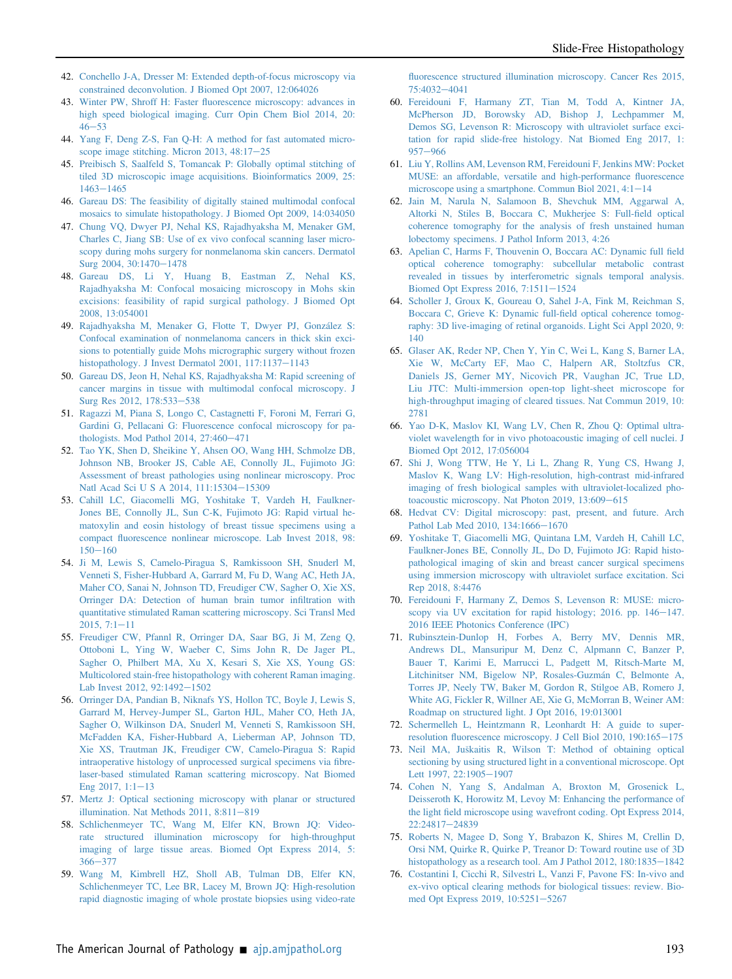- <span id="page-13-0"></span>42. [Conchello J-A, Dresser M: Extended depth-of-focus microscopy via](http://refhub.elsevier.com/S0002-9440(21)00471-5/sref41) [constrained deconvolution. J Biomed Opt 2007, 12:064026](http://refhub.elsevier.com/S0002-9440(21)00471-5/sref41)
- <span id="page-13-1"></span>43. Winter PW, Shroff H: Faster fl[uorescence microscopy: advances in](http://refhub.elsevier.com/S0002-9440(21)00471-5/sref42) [high speed biological imaging. Curr Opin Chem Biol 2014, 20:](http://refhub.elsevier.com/S0002-9440(21)00471-5/sref42)  $46 - 53$  $46 - 53$  $46 - 53$
- <span id="page-13-2"></span>44. [Yang F, Deng Z-S, Fan Q-H: A method for fast automated micro](http://refhub.elsevier.com/S0002-9440(21)00471-5/sref43)scope image stitching. Micron 2013,  $48:17-25$  $48:17-25$
- <span id="page-13-3"></span>45. [Preibisch S, Saalfeld S, Tomancak P: Globally optimal stitching of](http://refhub.elsevier.com/S0002-9440(21)00471-5/sref44) [tiled 3D microscopic image acquisitions. Bioinformatics 2009, 25:](http://refhub.elsevier.com/S0002-9440(21)00471-5/sref44)  $1463 - 1465$  $1463 - 1465$  $1463 - 1465$
- <span id="page-13-4"></span>46. [Gareau DS: The feasibility of digitally stained multimodal confocal](http://refhub.elsevier.com/S0002-9440(21)00471-5/sref45) [mosaics to simulate histopathology. J Biomed Opt 2009, 14:034050](http://refhub.elsevier.com/S0002-9440(21)00471-5/sref45)
- <span id="page-13-5"></span>47. [Chung VQ, Dwyer PJ, Nehal KS, Rajadhyaksha M, Menaker GM,](http://refhub.elsevier.com/S0002-9440(21)00471-5/sref46) [Charles C, Jiang SB: Use of ex vivo confocal scanning laser micro](http://refhub.elsevier.com/S0002-9440(21)00471-5/sref46)[scopy during mohs surgery for nonmelanoma skin cancers. Dermatol](http://refhub.elsevier.com/S0002-9440(21)00471-5/sref46) [Surg 2004, 30:1470](http://refhub.elsevier.com/S0002-9440(21)00471-5/sref46)-[1478](http://refhub.elsevier.com/S0002-9440(21)00471-5/sref46)
- 48. [Gareau DS, Li Y, Huang B, Eastman Z, Nehal KS,](http://refhub.elsevier.com/S0002-9440(21)00471-5/sref47) [Rajadhyaksha M: Confocal mosaicing microscopy in Mohs skin](http://refhub.elsevier.com/S0002-9440(21)00471-5/sref47) [excisions: feasibility of rapid surgical pathology. J Biomed Opt](http://refhub.elsevier.com/S0002-9440(21)00471-5/sref47) [2008, 13:054001](http://refhub.elsevier.com/S0002-9440(21)00471-5/sref47)
- <span id="page-13-27"></span>49. [Rajadhyaksha M, Menaker G, Flotte T, Dwyer PJ, González S:](http://refhub.elsevier.com/S0002-9440(21)00471-5/sref48) [Confocal examination of nonmelanoma cancers in thick skin exci](http://refhub.elsevier.com/S0002-9440(21)00471-5/sref48)[sions to potentially guide Mohs micrographic surgery without frozen](http://refhub.elsevier.com/S0002-9440(21)00471-5/sref48) [histopathology. J Invest Dermatol 2001, 117:1137](http://refhub.elsevier.com/S0002-9440(21)00471-5/sref48)-[1143](http://refhub.elsevier.com/S0002-9440(21)00471-5/sref48)
- 50. [Gareau DS, Jeon H, Nehal KS, Rajadhyaksha M: Rapid screening of](http://refhub.elsevier.com/S0002-9440(21)00471-5/sref49) [cancer margins in tissue with multimodal confocal microscopy. J](http://refhub.elsevier.com/S0002-9440(21)00471-5/sref49) [Surg Res 2012, 178:533](http://refhub.elsevier.com/S0002-9440(21)00471-5/sref49)-[538](http://refhub.elsevier.com/S0002-9440(21)00471-5/sref49)
- 51. [Ragazzi M, Piana S, Longo C, Castagnetti F, Foroni M, Ferrari G,](http://refhub.elsevier.com/S0002-9440(21)00471-5/sref50) [Gardini G, Pellacani G: Fluorescence confocal microscopy for pa](http://refhub.elsevier.com/S0002-9440(21)00471-5/sref50)thologists. Mod Pathol 2014,  $27:460-471$  $27:460-471$
- <span id="page-13-6"></span>52. [Tao YK, Shen D, Sheikine Y, Ahsen OO, Wang HH, Schmolze DB,](http://refhub.elsevier.com/S0002-9440(21)00471-5/sref51) [Johnson NB, Brooker JS, Cable AE, Connolly JL, Fujimoto JG:](http://refhub.elsevier.com/S0002-9440(21)00471-5/sref51) [Assessment of breast pathologies using nonlinear microscopy. Proc](http://refhub.elsevier.com/S0002-9440(21)00471-5/sref51) [Natl Acad Sci U S A 2014, 111:15304](http://refhub.elsevier.com/S0002-9440(21)00471-5/sref51)-[15309](http://refhub.elsevier.com/S0002-9440(21)00471-5/sref51)
- <span id="page-13-28"></span>53. [Cahill LC, Giacomelli MG, Yoshitake T, Vardeh H, Faulkner-](http://refhub.elsevier.com/S0002-9440(21)00471-5/sref52)[Jones BE, Connolly JL, Sun C-K, Fujimoto JG: Rapid virtual he](http://refhub.elsevier.com/S0002-9440(21)00471-5/sref52)[matoxylin and eosin histology of breast tissue specimens using a](http://refhub.elsevier.com/S0002-9440(21)00471-5/sref52) compact fl[uorescence nonlinear microscope. Lab Invest 2018, 98:](http://refhub.elsevier.com/S0002-9440(21)00471-5/sref52)  $150 - 160$  $150 - 160$  $150 - 160$
- 54. [Ji M, Lewis S, Camelo-Piragua S, Ramkissoon SH, Snuderl M,](http://refhub.elsevier.com/S0002-9440(21)00471-5/sref53) [Venneti S, Fisher-Hubbard A, Garrard M, Fu D, Wang AC, Heth JA,](http://refhub.elsevier.com/S0002-9440(21)00471-5/sref53) [Maher CO, Sanai N, Johnson TD, Freudiger CW, Sagher O, Xie XS,](http://refhub.elsevier.com/S0002-9440(21)00471-5/sref53) [Orringer DA: Detection of human brain tumor in](http://refhub.elsevier.com/S0002-9440(21)00471-5/sref53)filtration with [quantitative stimulated Raman scattering microscopy. Sci Transl Med](http://refhub.elsevier.com/S0002-9440(21)00471-5/sref53)  $2015, 7:1-11$  $2015, 7:1-11$  $2015, 7:1-11$
- 55. [Freudiger CW, Pfannl R, Orringer DA, Saar BG, Ji M, Zeng Q,](http://refhub.elsevier.com/S0002-9440(21)00471-5/sref54) [Ottoboni L, Ying W, Waeber C, Sims John R, De Jager PL,](http://refhub.elsevier.com/S0002-9440(21)00471-5/sref54) [Sagher O, Philbert MA, Xu X, Kesari S, Xie XS, Young GS:](http://refhub.elsevier.com/S0002-9440(21)00471-5/sref54) [Multicolored stain-free histopathology with coherent Raman imaging.](http://refhub.elsevier.com/S0002-9440(21)00471-5/sref54) [Lab Invest 2012, 92:1492](http://refhub.elsevier.com/S0002-9440(21)00471-5/sref54)-[1502](http://refhub.elsevier.com/S0002-9440(21)00471-5/sref54)
- <span id="page-13-29"></span>56. [Orringer DA, Pandian B, Niknafs YS, Hollon TC, Boyle J, Lewis S,](http://refhub.elsevier.com/S0002-9440(21)00471-5/sref55) [Garrard M, Hervey-Jumper SL, Garton HJL, Maher CO, Heth JA,](http://refhub.elsevier.com/S0002-9440(21)00471-5/sref55) [Sagher O, Wilkinson DA, Snuderl M, Venneti S, Ramkissoon SH,](http://refhub.elsevier.com/S0002-9440(21)00471-5/sref55) [McFadden KA, Fisher-Hubbard A, Lieberman AP, Johnson TD,](http://refhub.elsevier.com/S0002-9440(21)00471-5/sref55) [Xie XS, Trautman JK, Freudiger CW, Camelo-Piragua S: Rapid](http://refhub.elsevier.com/S0002-9440(21)00471-5/sref55) [intraoperative histology of unprocessed surgical specimens via](http://refhub.elsevier.com/S0002-9440(21)00471-5/sref55) fibre[laser-based stimulated Raman scattering microscopy. Nat Biomed](http://refhub.elsevier.com/S0002-9440(21)00471-5/sref55) Eng 2017,  $1:1-13$  $1:1-13$
- <span id="page-13-7"></span>57. [Mertz J: Optical sectioning microscopy with planar or structured](http://refhub.elsevier.com/S0002-9440(21)00471-5/sref56) illumination. Nat Methods  $2011$ ,  $8:811-819$  $8:811-819$
- <span id="page-13-20"></span>58. [Schlichenmeyer TC, Wang M, Elfer KN, Brown JQ: Video](http://refhub.elsevier.com/S0002-9440(21)00471-5/sref57)[rate structured illumination microscopy for high-throughput](http://refhub.elsevier.com/S0002-9440(21)00471-5/sref57) [imaging of large tissue areas. Biomed Opt Express 2014, 5:](http://refhub.elsevier.com/S0002-9440(21)00471-5/sref57)  $366 - 377$  $366 - 377$  $366 - 377$
- <span id="page-13-21"></span>59. [Wang M, Kimbrell HZ, Sholl AB, Tulman DB, Elfer KN,](http://refhub.elsevier.com/S0002-9440(21)00471-5/sref58) [Schlichenmeyer TC, Lee BR, Lacey M, Brown JQ: High-resolution](http://refhub.elsevier.com/S0002-9440(21)00471-5/sref58) [rapid diagnostic imaging of whole prostate biopsies using video-rate](http://refhub.elsevier.com/S0002-9440(21)00471-5/sref58)

fl[uorescence structured illumination microscopy. Cancer Res 2015,](http://refhub.elsevier.com/S0002-9440(21)00471-5/sref58) [75:4032](http://refhub.elsevier.com/S0002-9440(21)00471-5/sref58)-[4041](http://refhub.elsevier.com/S0002-9440(21)00471-5/sref58)

- <span id="page-13-8"></span>60. [Fereidouni F, Harmany ZT, Tian M, Todd A, Kintner JA,](http://refhub.elsevier.com/S0002-9440(21)00471-5/sref59) [McPherson JD, Borowsky AD, Bishop J, Lechpammer M,](http://refhub.elsevier.com/S0002-9440(21)00471-5/sref59) [Demos SG, Levenson R: Microscopy with ultraviolet surface exci](http://refhub.elsevier.com/S0002-9440(21)00471-5/sref59)[tation for rapid slide-free histology. Nat Biomed Eng 2017, 1:](http://refhub.elsevier.com/S0002-9440(21)00471-5/sref59) [957](http://refhub.elsevier.com/S0002-9440(21)00471-5/sref59)-[966](http://refhub.elsevier.com/S0002-9440(21)00471-5/sref59)
- <span id="page-13-9"></span>61. [Liu Y, Rollins AM, Levenson RM, Fereidouni F, Jenkins MW: Pocket](http://refhub.elsevier.com/S0002-9440(21)00471-5/sref60) [MUSE: an affordable, versatile and high-performance](http://refhub.elsevier.com/S0002-9440(21)00471-5/sref60) fluorescence [microscope using a smartphone. Commun Biol 2021, 4:1](http://refhub.elsevier.com/S0002-9440(21)00471-5/sref60)-[14](http://refhub.elsevier.com/S0002-9440(21)00471-5/sref60)
- <span id="page-13-10"></span>62. [Jain M, Narula N, Salamoon B, Shevchuk MM, Aggarwal A,](http://refhub.elsevier.com/S0002-9440(21)00471-5/sref61) [Altorki N, Stiles B, Boccara C, Mukherjee S: Full-](http://refhub.elsevier.com/S0002-9440(21)00471-5/sref61)field optical [coherence tomography for the analysis of fresh unstained human](http://refhub.elsevier.com/S0002-9440(21)00471-5/sref61) [lobectomy specimens. J Pathol Inform 2013, 4:26](http://refhub.elsevier.com/S0002-9440(21)00471-5/sref61)
- <span id="page-13-25"></span>63. [Apelian C, Harms F, Thouvenin O, Boccara AC: Dynamic full](http://refhub.elsevier.com/S0002-9440(21)00471-5/sref62) field [optical coherence tomography: subcellular metabolic contrast](http://refhub.elsevier.com/S0002-9440(21)00471-5/sref62) [revealed in tissues by interferometric signals temporal analysis.](http://refhub.elsevier.com/S0002-9440(21)00471-5/sref62) [Biomed Opt Express 2016, 7:1511](http://refhub.elsevier.com/S0002-9440(21)00471-5/sref62)-[1524](http://refhub.elsevier.com/S0002-9440(21)00471-5/sref62)
- <span id="page-13-26"></span>64. [Scholler J, Groux K, Goureau O, Sahel J-A, Fink M, Reichman S,](http://refhub.elsevier.com/S0002-9440(21)00471-5/sref63) [Boccara C, Grieve K: Dynamic full-](http://refhub.elsevier.com/S0002-9440(21)00471-5/sref63)field optical coherence tomog[raphy: 3D live-imaging of retinal organoids. Light Sci Appl 2020, 9:](http://refhub.elsevier.com/S0002-9440(21)00471-5/sref63) [140](http://refhub.elsevier.com/S0002-9440(21)00471-5/sref63)
- <span id="page-13-11"></span>65. [Glaser AK, Reder NP, Chen Y, Yin C, Wei L, Kang S, Barner LA,](http://refhub.elsevier.com/S0002-9440(21)00471-5/sref64) [Xie W, McCarty EF, Mao C, Halpern AR, Stoltzfus CR,](http://refhub.elsevier.com/S0002-9440(21)00471-5/sref64) [Daniels JS, Gerner MY, Nicovich PR, Vaughan JC, True LD,](http://refhub.elsevier.com/S0002-9440(21)00471-5/sref64) [Liu JTC: Multi-immersion open-top light-sheet microscope for](http://refhub.elsevier.com/S0002-9440(21)00471-5/sref64) [high-throughput imaging of cleared tissues. Nat Commun 2019, 10:](http://refhub.elsevier.com/S0002-9440(21)00471-5/sref64) [2781](http://refhub.elsevier.com/S0002-9440(21)00471-5/sref64)
- <span id="page-13-12"></span>66. [Yao D-K, Maslov KI, Wang LV, Chen R, Zhou Q: Optimal ultra](http://refhub.elsevier.com/S0002-9440(21)00471-5/sref65)[violet wavelength for in vivo photoacoustic imaging of cell nuclei. J](http://refhub.elsevier.com/S0002-9440(21)00471-5/sref65) [Biomed Opt 2012, 17:056004](http://refhub.elsevier.com/S0002-9440(21)00471-5/sref65)
- <span id="page-13-13"></span>67. [Shi J, Wong TTW, He Y, Li L, Zhang R, Yung CS, Hwang J,](http://refhub.elsevier.com/S0002-9440(21)00471-5/sref66) [Maslov K, Wang LV: High-resolution, high-contrast mid-infrared](http://refhub.elsevier.com/S0002-9440(21)00471-5/sref66) [imaging of fresh biological samples with ultraviolet-localized pho](http://refhub.elsevier.com/S0002-9440(21)00471-5/sref66)[toacoustic microscopy. Nat Photon 2019, 13:609](http://refhub.elsevier.com/S0002-9440(21)00471-5/sref66)-[615](http://refhub.elsevier.com/S0002-9440(21)00471-5/sref66)
- <span id="page-13-14"></span>68. [Hedvat CV: Digital microscopy: past, present, and future. Arch](http://refhub.elsevier.com/S0002-9440(21)00471-5/sref67) [Pathol Lab Med 2010, 134:1666](http://refhub.elsevier.com/S0002-9440(21)00471-5/sref67)-[1670](http://refhub.elsevier.com/S0002-9440(21)00471-5/sref67)
- <span id="page-13-15"></span>69. [Yoshitake T, Giacomelli MG, Quintana LM, Vardeh H, Cahill LC,](http://refhub.elsevier.com/S0002-9440(21)00471-5/sref68) [Faulkner-Jones BE, Connolly JL, Do D, Fujimoto JG: Rapid histo](http://refhub.elsevier.com/S0002-9440(21)00471-5/sref68)[pathological imaging of skin and breast cancer surgical specimens](http://refhub.elsevier.com/S0002-9440(21)00471-5/sref68) [using immersion microscopy with ultraviolet surface excitation. Sci](http://refhub.elsevier.com/S0002-9440(21)00471-5/sref68) [Rep 2018, 8:4476](http://refhub.elsevier.com/S0002-9440(21)00471-5/sref68)
- <span id="page-13-16"></span>70. [Fereidouni F, Harmany Z, Demos S, Levenson R: MUSE: micro](http://refhub.elsevier.com/S0002-9440(21)00471-5/sref69)[scopy via UV excitation for rapid histology; 2016. pp. 146](http://refhub.elsevier.com/S0002-9440(21)00471-5/sref69)-[147.](http://refhub.elsevier.com/S0002-9440(21)00471-5/sref69) [2016 IEEE Photonics Conference \(IPC\)](http://refhub.elsevier.com/S0002-9440(21)00471-5/sref69)
- <span id="page-13-17"></span>71. [Rubinsztein-Dunlop H, Forbes A, Berry MV, Dennis MR,](http://refhub.elsevier.com/S0002-9440(21)00471-5/sref70) [Andrews DL, Mansuripur M, Denz C, Alpmann C, Banzer P,](http://refhub.elsevier.com/S0002-9440(21)00471-5/sref70) [Bauer T, Karimi E, Marrucci L, Padgett M, Ritsch-Marte M,](http://refhub.elsevier.com/S0002-9440(21)00471-5/sref70) [Litchinitser NM, Bigelow NP, Rosales-Guzmán C, Belmonte A,](http://refhub.elsevier.com/S0002-9440(21)00471-5/sref70) [Torres JP, Neely TW, Baker M, Gordon R, Stilgoe AB, Romero J,](http://refhub.elsevier.com/S0002-9440(21)00471-5/sref70) [White AG, Fickler R, Willner AE, Xie G, McMorran B, Weiner AM:](http://refhub.elsevier.com/S0002-9440(21)00471-5/sref70) [Roadmap on structured light. J Opt 2016, 19:013001](http://refhub.elsevier.com/S0002-9440(21)00471-5/sref70)
- <span id="page-13-18"></span>72. [Schermelleh L, Heintzmann R, Leonhardt H: A guide to super](http://refhub.elsevier.com/S0002-9440(21)00471-5/sref71)resolution fl[uorescence microscopy. J Cell Biol 2010, 190:165](http://refhub.elsevier.com/S0002-9440(21)00471-5/sref71)-[175](http://refhub.elsevier.com/S0002-9440(21)00471-5/sref71)
- <span id="page-13-19"></span>73. [Neil MA, Ju](http://refhub.elsevier.com/S0002-9440(21)00471-5/sref72)[skaitis R, Wilson T: Method of obtaining optical](http://refhub.elsevier.com/S0002-9440(21)00471-5/sref72) [sectioning by using structured light in a conventional microscope. Opt](http://refhub.elsevier.com/S0002-9440(21)00471-5/sref72) [Lett 1997, 22:1905](http://refhub.elsevier.com/S0002-9440(21)00471-5/sref72)-[1907](http://refhub.elsevier.com/S0002-9440(21)00471-5/sref72)
- <span id="page-13-22"></span>74. [Cohen N, Yang S, Andalman A, Broxton M, Grosenick L,](http://refhub.elsevier.com/S0002-9440(21)00471-5/sref73) [Deisseroth K, Horowitz M, Levoy M: Enhancing the performance of](http://refhub.elsevier.com/S0002-9440(21)00471-5/sref73) the light fi[eld microscope using wavefront coding. Opt Express 2014,](http://refhub.elsevier.com/S0002-9440(21)00471-5/sref73) [22:24817](http://refhub.elsevier.com/S0002-9440(21)00471-5/sref73)-[24839](http://refhub.elsevier.com/S0002-9440(21)00471-5/sref73)
- <span id="page-13-23"></span>75. [Roberts N, Magee D, Song Y, Brabazon K, Shires M, Crellin D,](http://refhub.elsevier.com/S0002-9440(21)00471-5/sref74) [Orsi NM, Quirke R, Quirke P, Treanor D: Toward routine use of 3D](http://refhub.elsevier.com/S0002-9440(21)00471-5/sref74) histopathology as a research tool. Am J Pathol  $2012$ ,  $180:1835-1842$  $180:1835-1842$
- <span id="page-13-24"></span>76. [Costantini I, Cicchi R, Silvestri L, Vanzi F, Pavone FS: In-vivo and](http://refhub.elsevier.com/S0002-9440(21)00471-5/sref75) [ex-vivo optical clearing methods for biological tissues: review. Bio](http://refhub.elsevier.com/S0002-9440(21)00471-5/sref75)[med Opt Express 2019, 10:5251](http://refhub.elsevier.com/S0002-9440(21)00471-5/sref75)-[5267](http://refhub.elsevier.com/S0002-9440(21)00471-5/sref75)